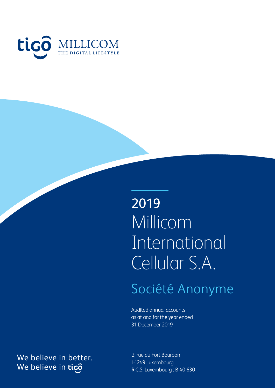

# 2019 Millicom International Cellular S.A.

# Société Anonyme

Audited annual accounts as at and for the year ended 31 December 2019

We believe in better. We believe in tiço

2, rue du Fort Bourbon L-1249 Luxembourg R.C.S. Luxembourg : B 40 630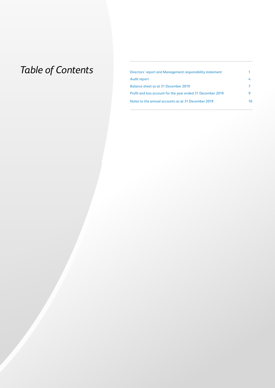# **Table of Contents**

| Directors' report and Management responsibility statement   |    |
|-------------------------------------------------------------|----|
| Audit report                                                |    |
| Balance sheet as at 31 December 2019                        |    |
| Profit and loss account for the year ended 31 December 2019 |    |
| Notes to the annual accounts as at 31 December 2019         | 10 |
|                                                             |    |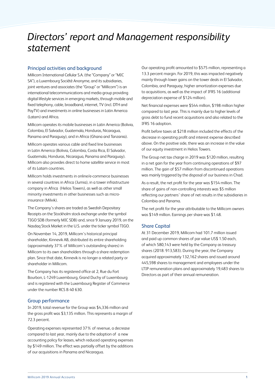## *Directors' report and Management responsibility statement*

## Principal activities and background

Millicom International Cellular S.A. (the "Company" or "MIC SA"), a Luxembourg Société Anonyme, and its subsidiaries, joint ventures and associates (the "Group" or "Millicom") is an international telecommunications and media group providing digital lifestyle services in emerging markets, through mobile and fixed telephony, cable, broadband, internet, TV (incl. DTH and PayTV) and investments in online businesses in Latin America (Latam) and Africa.

Millicom operates its mobile businesses in Latin America (Bolivia, Colombia, El Salvador, Guatemala, Honduras, Nicaragua, Panama and Paraguay), and in Africa (Ghana and Tanzania).

Millicom operates various cable and fixed line businesses in Latin America (Bolivia, Colombia, Costa Rica, El Salvador, Guatemala, Honduras, Nicaragua, Panama and Paraguay). Millicom also provides direct to home satellite service in most of its Latam countries.

Millicom holds investments in online/e-commerce businesses in several countries in Africa (Jumia), in a tower infrastructure company in Africa (Helios Towers), as well as other small minority investments in other businesses such as microinsurance (Milvik).

The Company's shares are traded as Swedish Depositary Receipts on the Stockholm stock exchange under the symbol TIGO SDB (formerly MIC SDB) and, since 9 January 2019, on the Nasdaq Stock Market in the U.S. under the ticker symbol TIGO.

On November 14, 2019, Millicom's historical principal shareholder, Kinnevik AB, distributed its entire shareholding (approximately 37% of Millicom's outstanding shares) in Millicom to its own shareholders through a share redemption plan. Since that date, Kinnevik is no longer a related party or shareholder in Millicom.

The Company has its registered office at 2, Rue du Fort Bourbon, L-1249 Luxembourg, Grand Duchy of Luxembourg and is registered with the Luxembourg Register of Commerce under the number RCS B 40 630.

#### Group performance

In 2019, total revenue for the Group was \$4,336 million and the gross profit was \$3,135 million. This represents a margin of 72.3 percent.

Operating expenses represented 37% of revenue, a decrease compared to last year, mainly due to the adoption of a new accounting policy for leases, which reduced operating expenses by \$149 million. The effect was partially offset by the additions of our acquisitions in Panama and Nicaragua.

Our operating profit amounted to \$575 million, representing a 13.3 percent margin. For 2019, this was impacted negatively mainly through lower gains on the tower deals in El Salvador, Colombia, and Paraguay, higher amortization expenses due to acquisitions, as well as the impact of IFRS 16 (additional depreciation expense of \$124 million).

Net financial expenses were \$544 million, \$198 million higher compared to last year. This is mainly due to higher levels of gross debt to fund recent acquisitions and also related to the IFRS 16 adoption.

Profit before taxes at \$218 million included the effects of the decrease in operating profit and interest expense described above. On the positive side, there was an increase in the value of our equity investment in Helios Towers.

The Group net tax charge in 2019 was \$120 million, resulting in a net gain for the year from continuing operations of \$97 million. The gain of \$57 million from discontinued operations was mainly triggered by the disposal of our business in Chad.

As a result, the net profit for the year was \$154 million. The share of gains of non-controlling interests was \$5 million reflecting our partners' share of net results in the subsidiaries in Colombia and Panama.

The net profit for the year attributable to the Millicom owners was \$149 million. Earnings per share was \$1.48.

## Share Capital

At 31 December 2019, Millicom had 101.7 million issued and paid up common shares of par value US\$ 1.50 each, of which 580,143 were held by the Company as treasury shares (2018: 913,583). During the year, the Company acquired approximately 132,162 shares and issued around 445,598 shares to management and employees under the LTIP remuneration plans and approximately 19,483 shares to Directors as part of their annual remuneration.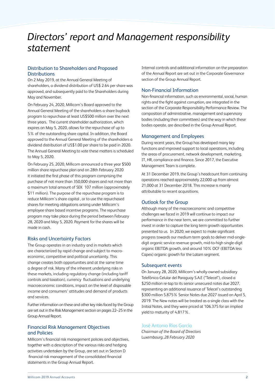## *Directors' report and Management responsibility statement*

## Distribution to Shareholders and Proposed **Distributions**

On 2 May 2019, at the Annual General Meeting of shareholders, a dividend distribution of US\$ 2.64 per share was approved, and subsequently paid to the Shareholders during May and November.

On February 24, 2020, Millicom's Board approved to the Annual General Meeting of the shareholders a share buyback program to repurchase at least US\$500 million over the next three years. The current shareholder authorization, which expires on May 5, 2020, allows for the repurchase of up to 5% of the outstanding share capital. In addition, the Board approved to the Annual General Meeting of the shareholders a dividend distribution of US\$1.00 per share to be paid in 2020. The Annual General Meeting to vote these matters is scheduled to May 5, 2020.

On February 25, 2020, Millicom announced a three year \$500 million share repurchase plan and on 28th February 2020 it initiated the first phase of this program comprising the purchase of not more than 350,000 shares and not more than a maximum total amount of SEK 107 million (approximately \$11 million). The purpose of the repurchase program is to reduce Millicom's share capital , or to use the repurchased shares for meeting obligations arising under Millicom´s employee share based incentive programs. The repurchase program may take place during the period between February 28, 2020 and May 5, 2020. Payment for the shares will be made in cash.

#### Risks and Uncertainty Factors

The Group operates in an industry and in markets which are characterized by rapid change and subject to macroeconomic, competitive and political uncertainty. This change creates both opportunities and at the same time a degree of risk. Many of the inherent underlying risks in these markets, including regulatory change (including tariff controls and taxation), currency fluctuations and underlying macroeconomic conditions, impact on the level of disposable income and consumers' attitudes and demand of products and services.

Further information on these and other key risks faced by the Group are set out in the Risk Management section on pages 22–25 in the Group Annual Report.

#### Financial Risk Management Objectives and Policies

Millicom's financial risk management policies and objectives, together with a description of the various risks and hedging activities undertaken by the Group, are set out in Section D financial risk management of the consolidated financial statements in the Group Annual Report.

Internal controls and additional information on the preparation of the Annual Report are set out in the Corporate Governance section of the Group Annual Report.

## Non-Financial Information

Non-financial information, such as environmental, social, human rights and the fight against corruption, are integrated in the section of the Corporate Responsibility Performance Review. The composition of administrative. management and supervisory bodies (including their committees) and the way in which these bodies operate, are described in the Group Annual Report.

#### Management and Employees

During recent years, the Group has developed many key functions and improved support to local operations, including the areas of procurement, network development, marketing, IT, HR, compliance and finance. Since 2017, the Executive Management Team is complete.

At 31 December 2019, the Group's headcount from continuing operations reached approximately 22,000 up from almost 21,000 at 31 December 2018. This increase is mainly attributable to recent acquisitions.

#### Outlook for the Group

Although many of the macroeconomic and competitive challenges we faced in 2019 will continue to impact our performance in the near term, we are committed to further invest in order to capture the long term growth opportunities presented to us. In 2020, we expect to make significant progress towards our medium term goals to deliver mid-singledigit organic service revenue growth, mid-to-high single-digit organic EBITDA growth, and around 10% OCF (EBITDA less Capex) organic growth for the Latam segment.

#### Subsequent events

On January 28, 2020, Millicom's wholly-owned subsidiary Telefónica Celular del Paraguay S.A.E ("Telecel"), closed a \$250 million re-tap to its senior unsecured notes due 2027, representing an additional issuance of Telecel's outstanding \$300 million 5.875% Senior Notes due 2027 issued on April 5, 2019. The New notes will be treated as a single class with the Initial Notes, and they were priced at 106.375 for an implied yield to maturity of 4.817%.

#### José Antonio Ríos García

*Chairman of the Board of Directors* L*uxembourg, 28 February 2020*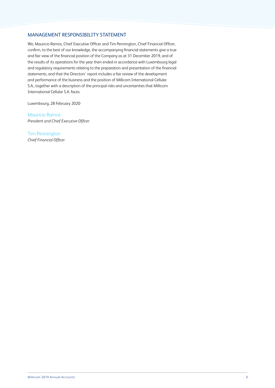## MANAGEMENT RESPONSIBILITY STATEMENT

We, Mauricio Ramos, Chief Executive Officer and Tim Pennington, Chief Financial Officer, confirm, to the best of our knowledge, the accompanying financial statements give a true and fair view of the financial position of the Company as at 31 December 2019, and of the results of its operations for the year then ended in accordance with Luxembourg legal and regulatory requirements relating to the preparation and presentation of the financial statements, and that the Directors' report includes a fair review of the development and performance of the business and the position of Millicom International Cellular S.A., together with a description of the principal risks and uncertainties that Millicom International Cellular S.A. faces.

Luxembourg, 28 February 2020

Mauricio Ramos *President and Chief Executive Officer*

Tim Pennington *Chief Financial Officer*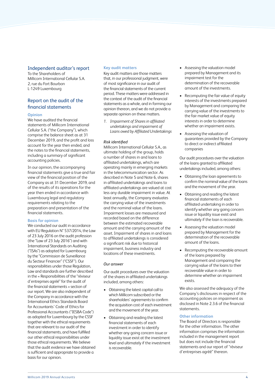### Independent auditor's report

To the Shareholders of Millicom International Cellular S.A. 2, rue du Fort Bourbon L-1249 Luxembourg

## Report on the audit of the financial statements

#### **Opinion**

We have audited the financial statements of Millicom International Cellular S.A. ("the Company"), which comprise the balance sheet as at 31 December 2019, and the profit and loss account for the year then ended, and the notes to the financial statements, including a summary of significant accounting policies.

In our opinion, the accompanying financial statements give a true and fair view of the financial position of the Company as at 31 December 2019, and of the results of its operations for the year then ended in accordance with Luxembourg legal and regulatory requirements relating to the preparation and presentation of the financial statements.

#### **Basis for opinion**

We conducted our audit in accordance with EU Regulation N° 537/2014, the Law of 23 July 2016 on the audit profession (the "Law of 23 July 2016") and with International Standards on Auditing ("ISAs") as adopted for Luxembourg by the "Commission de Surveillance du Secteur Financier" ("CSSF"). Our responsibilities under those Regulation, Law and standards are further described in the « Responsibilities of the "réviseur d'entreprises agréé" for the audit of the financial statements » section of our report. We are also independent of the Company in accordance with the International Ethics Standards Board for Accountants' Code of Ethics for Professional Accountants ("IESBA Code") as adopted for Luxembourg by the CSSF together with the ethical requirements that are relevant to our audit of the financial statements, and have fulfilled our other ethical responsibilities under those ethical requirements. We believe that the audit evidence we have obtained is sufficient and appropriate to provide a basis for our opinion.

#### **Key audit matters**

Key audit matters are those matters that, in our professional judgment, were of most significance in our audit of the financial statements of the current period. These matters were addressed in the context of the audit of the financial statements as a whole, and in forming our opinion thereon, and we do not provide a separate opinion on these matters.

*1. Impairment of Shares in affiliated undertakings and impairment of Loans owed by Affiliated Undertakings*

#### *Risk identified*

Millicom International Cellular S.A., as ultimate holding of the group, holds a number of shares in and loans to affiliated undertakings, which are operating mainly in emerging markets in the telecommunication sector. As described in Note 5 and Note 6, shares in affiliated undertakings and loans to affiliated undertakings are valued at cost less any durable impairment in value. At least annually, the Company evaluates the carrying value of the investments and the nominal value of the loans. Impairment losses are measured and recorded based on the difference between the estimated recoverable amount and the carrying amount of the asset. Impairment of shares in and loans to affiliated undertakings is considered a significant risk due to historical impairment, business industry and locations of these investments.

#### *Our answer*

Our audit procedures over the valuation of the shares in affiliated undertakings included, among others:

- Obtaining the latest capital call to which Millicom subscribed or the shareholders' agreements to confirm the acquisition cost of each investment and the movement of the year.
- Obtaining and reading the latest financial statements of each investment in order to identify whether any going concern issue or liquidity issue exist at the investment level and ultimately if the investment is recoverable.
- Assessing the valuation model prepared by Management and its impairment test for the determination of the recoverable amount of the investments.
- Recomputing the fair value of equity interests of the investments prepared by Management and comparing the carrying value of the investments to the fair market value of equity interests in order to determine whether an impairment exists.
- Assessing the valuation of guarantees provided by the Company to direct or indirect affiliated companies

Our audit procedures over the valuation of the loans granted to affiliated undertakings included, among others:

- Obtaining the loan agreements to confirm the nominal value of the loans and the movement of the year.
- Obtaining and reading the latest financial statements of each affiliated undertaking in order to identify whether any going concern issue or liquidity issue exist and ultimately if the loan is recoverable.
- Assessing the valuation model prepared by Management for the determination of the recoverable amount of the loans.
- Recomputing the recoverable amount of the loans prepared by Management and comparing the carrying value of the loans to their recoverable value in order to determine whether an impairment exists.

We also assessed the adequacy of the Company's disclosures in respect of the accounting policies on impairment as disclosed in Note 2.3.6 of the financial statements.

#### **Other information**

The Board of Directors is responsible for the other information. The other information comprises the information included in the management report but does not include the financial statements and our report of "réviseur d'entreprises agréé" thereon.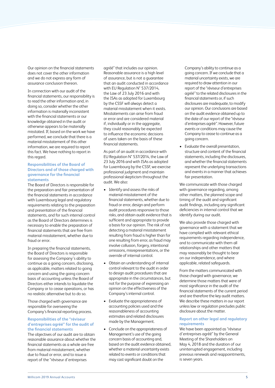Our opinion on the financial statements does not cover the other information and we do not express any form of assurance conclusion thereon.

In connection with our audit of the financial statements, our responsibility is to read the other information and, in doing so, consider whether the other information is materially inconsistent with the financial statements or our knowledge obtained in the audit or otherwise appears to be materially misstated. If, based on the work we have performed, we conclude that there is a material misstatement of this other information, we are required to report this fact. We have nothing to report in this regard.

#### **Responsibilities of the Board of Directors and of those charged with governance for the financial statements**

The Board of Directors is responsible for the preparation and fair presentation of the financial statements in accordance with Luxembourg legal and regulatory requirements relating to the preparation and presentation of the financial statements, and for such internal control as the Board of Directors determines is necessary to enable the preparation of financial statements that are free from material misstatement, whether due to fraud or error.

In preparing the financial statements, the Board of Directors is responsible for assessing the Company's ability to continue as a going concern, disclosing, as applicable, matters related to going concern and using the going concern basis of accounting unless the Board of Directors either intends to liquidate the Company or to cease operations, or has no realistic alternative but to do so.

Those charged with governance are responsible for overseeing the Company's financial reporting process.

#### **Responsibilities of the "réviseur d'entreprises agréé" for the audit of the financial statements**

The objectives of our audit are to obtain reasonable assurance about whether the financial statements as a whole are free from material misstatement, whether due to fraud or error, and to issue a report of the "réviseur d'entreprises

agréé" that includes our opinion. Reasonable assurance is a high level of assurance, but is not a guarantee that an audit conducted in accordance with EU Regulation N° 537/2014, the Law of 23 July 2016 and with the ISAs as adopted for Luxembourg by the CSSF will always detect a material misstatement when it exists. Misstatements can arise from fraud or error and are considered material if, individually or in the aggregate, they could reasonably be expected to influence the economic decisions of users taken on the basis of these financial statements.

As part of an audit in accordance with EU Regulation N° 537/2014, the Law of 23 July 2016 and with ISAs as adopted for Luxembourg by the CSSF, we exercise professional judgment and maintain professional skepticism throughout the audit. We also:

- Identify and assess the risks of material misstatement of the financial statements, whether due to fraud or error, design and perform audit procedures responsive to those risks, and obtain audit evidence that is sufficient and appropriate to provide a basis for our opinion. The risk of not detecting a material misstatement resulting from fraud is higher than for one resulting from error, as fraud may involve collusion, forgery, intentional omissions, misrepresentations, or the override of internal control.
- Obtain an understanding of internal control relevant to the audit in order to design audit procedures that are appropriate in the circumstances, but not for the purpose of expressing an opinion on the effectiveness of the Company's internal control.
- Evaluate the appropriateness of accounting policies used and the reasonableness of accounting estimates and related disclosures made by the Management.
- Conclude on the appropriateness of Management's use of the going concern basis of accounting and, based on the audit evidence obtained, whether a material uncertainty exists related to events or conditions that may cast significant doubt on the

Company's ability to continue as a going concern. If we conclude that a material uncertainty exists, we are required to draw attention in our report of the "réviseur d'entreprises agréé" to the related disclosures in the financial statements or, if such disclosures are inadequate, to modify our opinion. Our conclusions are based on the audit evidence obtained up to the date of our report of the "réviseur d'entreprises agréé". However, future events or conditions may cause the Company to cease to continue as a going concern.

• Evaluate the overall presentation, structure and content of the financial statements, including the disclosures, and whether the financial statements represent the underlying transactions and events in a manner that achieves fair presentation.

We communicate with those charged with governance regarding, among other matters, the planned scope and timing of the audit and significant audit findings, including any significant deficiencies in internal control that we identify during our audit.

We also provide those charged with governance with a statement that we have complied with relevant ethical requirements regarding independence, and to communicate with them all relationships and other matters that may reasonably be thought to bear on our independence, and where applicable, related safeguards.

From the matters communicated with those charged with governance, we determine those matters that were of most significance in the audit of the financial statements of the current period and are therefore the key audit matters. We describe these matters in our report unless law or regulation precludes public disclosure about the matter.

#### **Report on other legal and regulatory requirements**

We have been appointed as "réviseur d'entreprises agréé" by the General Meeting of the Shareholders on May 4, 2018 and the duration of our uninterrupted engagement, including previous renewals and reappointments, is seven years.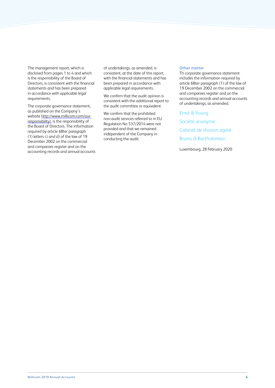The management report, which is disclosed from pages 1 to 4 and which is the responsibility of the Board of Directors, is consistent with the financial statements and has been prepared in accordance with applicable legal requirements.

The corporate governance statement, as published on the Company's website [http://www.millicom.com/our](http://www.millicom.com/our-responsibility/)[responsibility/](http://www.millicom.com/our-responsibility/), is the responsibility of the Board of Directors. The information required by article 68ter paragraph (1) letters c) and d) of the law of 19 December 2002 on the commercial and companies register and on the accounting records and annual accounts of undertakings, as amended, is consistent, at the date of this report, with the financial statements and has been prepared in accordance with applicable legal requirements.

We confirm that the audit opinion is consistent with the additional report to the audit committee or equivalent.

We confirm that the prohibited non-audit services referred to in EU Regulation No 537/2014 were not provided and that we remained independent of the Company in conducting the audit.

#### **Other matter**

Th corporate governance statement includes the information required by article 68ter paragraph (1) of the law of 19 December 2002 on the commercial and companies register and on the accounting records and annual accounts of undertakings, as amended.

Ernst & Young

Société anonyme

Cabinet de révision agréé

Bruno di Bartholomeo

Luxembourg, 28 February 2020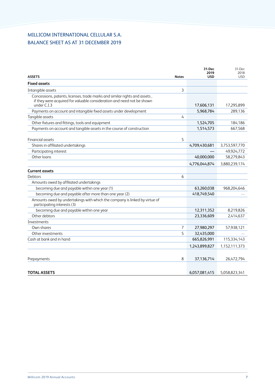## MILLICOM INTERNATIONAL CELLULAR S.A. BALANCE SHEET AS AT 31 DECEMBER 2019

| <b>ASSETS</b><br><b>Notes</b>                                                                                                                                       | 31-Dec<br>2019<br><b>USD</b> | 31-Dec<br>2018<br><b>USD</b> |
|---------------------------------------------------------------------------------------------------------------------------------------------------------------------|------------------------------|------------------------------|
| <b>Fixed assets</b>                                                                                                                                                 |                              |                              |
| Intangible assets<br>3                                                                                                                                              |                              |                              |
| Concessions, patents, licenses, trade marks and similar rights and assets,<br>if they were acquired for valuable consideration and need not be shown<br>under C.I.3 | 17,606,131                   | 17,295,899                   |
| Payments on account and intangible fixed assets under development                                                                                                   | 5,968,784                    | 289,136                      |
| Tangible assets<br>4                                                                                                                                                |                              |                              |
| Other fixtures and fittings, tools and equipment                                                                                                                    | 1,524,705                    | 184,186                      |
| Payments on account and tangible assets in the course of construction                                                                                               | 1,514,573                    | 667,568                      |
| 5<br>Financial assets                                                                                                                                               |                              |                              |
| Shares in affiliated undertakings                                                                                                                                   | 4,709,430,681                | 3,753,597,770                |
| Participating interest                                                                                                                                              |                              | 49,924,772                   |
| Other loans                                                                                                                                                         | 40,000,000                   | 58,279,843                   |
|                                                                                                                                                                     | 4,776,044,874                | 3,880,239,174                |
| <b>Current assets</b>                                                                                                                                               |                              |                              |
| Debtors<br>6                                                                                                                                                        |                              |                              |
| Amounts owed by affiliated undertakings                                                                                                                             |                              |                              |
| becoming due and payable within one year (1)                                                                                                                        | 63,260,038                   | 968,204,646                  |
| becoming due and payable after more than one year (2)                                                                                                               | 418,749,540                  |                              |
| Amounts owed by undertakings with which the company is linked by virtue of<br>participating interests (3)                                                           |                              |                              |
| becoming due and payable within one year                                                                                                                            | 12,311,352                   | 8,219,826                    |
| Other debtors                                                                                                                                                       | 23,336,609                   | 2,414,637                    |
| Investments                                                                                                                                                         |                              |                              |
| Own shares<br>7                                                                                                                                                     | 27,980,297                   | 57,938,121                   |
| 5<br>Other investments                                                                                                                                              | 32,435,000                   |                              |
| Cash at bank and in hand                                                                                                                                            | 665,826,991                  | 115,334,143                  |
|                                                                                                                                                                     | 1,243,899,827                | 1,152,111,373                |
| 8<br>Prepayments                                                                                                                                                    | 37,136,714                   | 26,472,794                   |
| <b>TOTAL ASSETS</b>                                                                                                                                                 | 6,057,081,415                | 5,058,823,341                |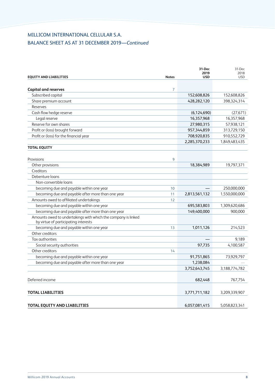## MILLICOM INTERNATIONAL CELLULAR S.A. BALANCE SHEET AS AT 31 DECEMBER 2019—*Continued*

| <b>EQUITY AND LIABILITIES</b>                                                                         | <b>Notes</b> | 31-Dec<br>2019<br><b>USD</b> | 31-Dec<br>2018<br><b>USD</b> |
|-------------------------------------------------------------------------------------------------------|--------------|------------------------------|------------------------------|
|                                                                                                       |              |                              |                              |
| <b>Capital and reserves</b>                                                                           | 7            |                              |                              |
| Subscribed capital                                                                                    |              | 152,608,826                  | 152,608,826                  |
| Share premium account                                                                                 |              | 428,282,120                  | 398,324,314                  |
| Reserves                                                                                              |              |                              |                              |
| Cash flow hedge reserve                                                                               |              | (6, 124, 690)                | (27, 671)                    |
| Legal reserve                                                                                         |              | 16,357,968                   | 16,357,968                   |
| Reserve for own shares                                                                                |              | 27,980,315                   | 57,938,121                   |
| Profit or (loss) brought forward                                                                      |              | 957,344,859                  | 313,729,150                  |
| Profit or (loss) for the financial year                                                               |              | 708,920,835                  | 910,552,729                  |
|                                                                                                       |              | 2,285,370,233                | 1,849,483,435                |
| <b>TOTAL EQUITY</b>                                                                                   |              |                              |                              |
| Provisions                                                                                            | 9            |                              |                              |
| Other provisions                                                                                      |              | 18,384,989                   | 19,797,371                   |
| Creditors                                                                                             |              |                              |                              |
| Debenture loans                                                                                       |              |                              |                              |
| Non-convertible loans                                                                                 |              |                              |                              |
| becoming due and payable within one year                                                              | 10           |                              | 250,000,000                  |
| becoming due and payable after more than one year                                                     | 11           | 2,813,561,132                | 1,550,000,000                |
| Amounts owed to affiliated undertakings                                                               | 12           |                              |                              |
| becoming due and payable within one year                                                              |              | 695,583,803                  | 1,309,620,686                |
| becoming due and payable after more than one year                                                     |              | 149,400,000                  | 900,000                      |
| Amounts owed to undertakings with which the company is linked<br>by virtue of participating interests |              |                              |                              |
| becoming due and payable within one year                                                              | 13           | 1,011,126                    | 214,523                      |
| Other creditors                                                                                       |              |                              |                              |
| Tax authorities                                                                                       |              |                              | 9,189                        |
| Social security authorities                                                                           |              | 97,735                       | 4,100,587                    |
| Other creditors                                                                                       | 14           |                              |                              |
| becoming due and payable within one year                                                              |              | 91,751,865                   | 73,929,797                   |
| becoming due and payable after more than one year                                                     |              | 1,238,084                    |                              |
|                                                                                                       |              | 3,752,643,745                | 3,188,774,782                |
| Deferred income                                                                                       |              | 682,448                      | 767,754                      |
| <b>TOTAL LIABILITIES</b>                                                                              |              | 3,771,711,182                | 3,209,339,907                |
| TOTAL EQUITY AND LIABILITIES                                                                          |              | 6,057,081,415                | 5,058,823,341                |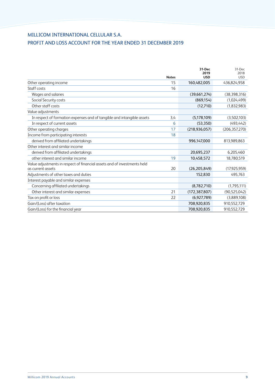## MILLICOM INTERNATIONAL CELLULAR S.A. PROFIT AND LOSS ACCOUNT FOR THE YEAR ENDED 31 DECEMBER 2019

|                                                                                               |              | 31-Dec<br>2019  | 31-Dec<br>2018  |
|-----------------------------------------------------------------------------------------------|--------------|-----------------|-----------------|
|                                                                                               | <b>Notes</b> | <b>USD</b>      | <b>USD</b>      |
| Other operating income                                                                        | 15           | 160,482,005     | 436,824,958     |
| Staff costs                                                                                   | 16           |                 |                 |
| Wages and salaries                                                                            |              | (39,661,274)    | (38, 398, 316)  |
| Social Security costs                                                                         |              | (869, 154)      | (1,024,499)     |
| Other staff costs                                                                             |              | (12,710)        | (1,832,983)     |
| Value adjustments                                                                             |              |                 |                 |
| In respect of formation expenses and of tangible and intangible assets                        | 3,4          | (5,178,109)     | (3,502,103)     |
| In respect of current assets                                                                  | 6            | (53,350)        | (493, 442)      |
| Other operating charges                                                                       | 17           | (218, 936, 057) | (206, 357, 270) |
| Income from participating interests                                                           | 18           |                 |                 |
| derived from affiliated undertakings                                                          |              | 996,147,000     | 813,989,863     |
| Other interest and similar income                                                             |              |                 |                 |
| derived from affiliated undertakings                                                          |              | 20,695,237      | 6,205,460       |
| other interest and similar income                                                             | 19           | 10,458,572      | 18,780,519      |
| Value adjustments in respect of financial assets and of investments held<br>as current assets | 20           | (26, 205, 849)  | (17,925,959)    |
| Adjustments of other taxes and duties                                                         |              | 152,830         | 495,763         |
| Interest payable and similar expenses                                                         |              |                 |                 |
| Concerning affiliated undertakings                                                            |              | (8,782,710)     | (1,795,111)     |
| Other interest and similar expenses                                                           | 21           | (172, 387, 807) | (90,525,042)    |
| Tax on profit or loss                                                                         | 22           | (6,927,789)     | (3,889,108)     |
| Gain/(Loss) after taxation                                                                    |              | 708,920,835     | 910,552,729     |
| Gain/(Loss) for the financial year                                                            |              | 708,920,835     | 910,552,729     |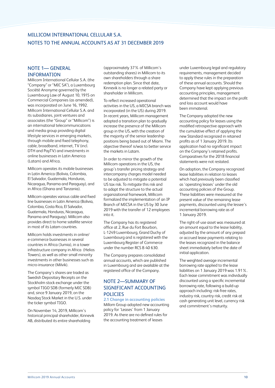## MILLICOM INTERNATIONAL CELLULAR S.A. NOTES TO THE ANNUAL ACCOUNTS AS AT 31 DECEMBER 2019

## NOTE 1— GENERAL INFORMATION

Millicom International Cellular S.A. (the "Company" or "MIC SA"), a Luxembourg Société Anonyme governed by the Luxembourg Law of August 10, 1915 on Commercial Companies (as amended), was incorporated on June 16, 1992. Millicom International Cellular S.A. and its subsidiaries, joint ventures and associates (the "Group" or "Millicom") is an international telecommunications and media group providing digital lifestyle services in emerging markets, through mobile and fixed telephony, cable, broadband, internet, TV (incl. DTH and PayTV) and investments in online businesses in Latin America (Latam) and Africa.

Millicom operates its mobile businesses in Latin America (Bolivia, Colombia, El Salvador, Guatemala, Honduras, Nicaragua, Panama and Paraguay), and in Africa (Ghana and Tanzania).

Millicom operates various cable and fixed line businesses in Latin America (Bolivia, Colombia, Costa Rica, El Salvador, Guatemala, Honduras, Nicaragua, Panama and Paraguay). Millicom also provides direct to home satellite service in most of its Latam countries.

Millicom holds investments in online/ e-commerce businesses in several countries in Africa (Jumia), in a tower infrastructure company in Africa (Helios Towers), as well as other small minority investments in other businesses such as micro-insurance (Milvik).

The Company's shares are traded as Swedish Depositary Receipts on the Stockholm stock exchange under the symbol TIGO SDB (formerly MIC SDB) and, since 9 January 2019, on the Nasdaq Stock Market in the U.S. under the ticker symbol TIGO.

On November 14, 2019, Millicom's historical principal shareholder, Kinnevik AB, distributed its entire shareholding

(approximately 37% of Millicom's outstanding shares) in Millicom to its own shareholders through a share redemption plan. Since that date, Kinnevik is no longer a related party or shareholder in Millicom.

To reflect increased operational activities in the US, a MICSA branch was incorporated (in the US) during 2019. In recent years, Millicom management adopted a transition plan to gradually increase the presence of the Millicom group in the US, with the creation of the majority of the senior leadership positions being based out of Miami. The objective thereof is/was to better service the markets in Latam.

In order to mirror the growth of the Millicom operations in the US, the group's transfer pricing strategy and intercompany charges model needed to be adjusted to mitigate a potential US tax risk. To mitigate this risk and to adapt the structure to the actual organizational framework, Millicom formalized the implementation of an IP Branch of MICSA in the US by 30 June 2019 with the transfer of 12 employees into it.

The Company has its registered office at 2, Rue du Fort Bourbon, L-1249 Luxembourg, Grand Duchy of Luxembourg and is registered with the Luxembourg Register of Commerce under the number RCS B 40 630.

The Company prepares consolidated annual accounts, which are published in Luxembourg and are available at the registered office of the Company.

## NOTE 2—SUMMARY OF SIGNIFICANT ACCOUNTING POLICIES

#### **2.1 Change in accounting policies** Millom Group adopted new accounting policy for 'Leases' from 1 January 2019. As there are no defined rules for the accounting treatment of leases

under Luxembourg legal and regulatory requirements, management decided to apply these rules in the preparation of these annual accounts. Should the Company have kept applying previous accounting principles, management determined that the impact on the profit and loss account would have been immaterial.

The Company adopted the new accounting policy for leases using the modified retrospective approach with the cumulative effect of applying the new Standard recognized in retained profits as of 1 January 2019. Its application had no significant impact on the Company's retained profits. Comparatives for the 2018 financial statements were not restated.

On adoption, the Company recognized lease liabilities in relation to leases which had previously been classified as 'operating leases' under the old accounting policies of the Group. These liabilities were measured at the present value of the remaining lease payments, discounted using the lessee's incremental borrowing rate as of 1 January 2019.

The right-of-use asset was measured at an amount equal to the lease liability, adjusted by the amount of any prepaid or accrued lease payments relating to the leases recognized in the balance sheet immediately before the date of initial application.

The weighted average incremental borrowing rate applied to the lease liabilities on 1 January 2019 was 1.91%. Each lease commitment was individually discounted using a specific incremental borrowing rate, following a build-up approach including: risk-free rates, industry risk, country risk, credit risk at cash generating unit level, currency risk and commitment's maturity.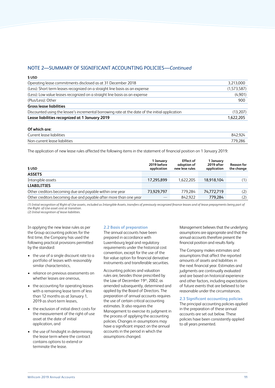| \$USD                                                                                           |             |
|-------------------------------------------------------------------------------------------------|-------------|
| Operating lease commitments disclosed as at 31 December 2018                                    | 3,213,000   |
| (Less): Short term leases recognized on a straight line basis as an expense                     | (1,573,587) |
| (Less): Low value leases recognized on a straight line basis as an expense                      | (4,901)     |
| (Plus/Less): Other                                                                              | 900         |
| <b>Gross lease liabilities</b>                                                                  |             |
| Discounted using the lessee's incremental borrowing rate at the date of the initial application | (13, 207)   |
| Lease liabilities recognized at 1 January 2019                                                  | 1,622,205   |
|                                                                                                 |             |

| Of which are:                 |         |
|-------------------------------|---------|
| Current lease liabilities     | 842924  |
| Non-current lease liabilities | 779.286 |

The application of new lease rules affected the following items in the statement of financial position on 1 January 2019:

| \$USD                                                             | 1 January<br>2019 before<br>application | <b>Effect of</b><br>adoption of<br>new lese rules | 1 January<br>2019 after<br>application | Reason for<br>the change |
|-------------------------------------------------------------------|-----------------------------------------|---------------------------------------------------|----------------------------------------|--------------------------|
| <b>ASSETS</b>                                                     |                                         |                                                   |                                        |                          |
| Intangible assets                                                 | 17,295,899                              | 1,622,205                                         | 18,918,104                             | (1)                      |
| <b>LIABILITIES</b>                                                |                                         |                                                   |                                        |                          |
| Other creditors becoming due and payable within one year          | 73,929,797                              | 779.284                                           | 74,772,719                             | (2)                      |
| Other creditors becoming due and payable after more than one year |                                         | 842.922                                           | 779.284                                | (2)                      |

*(1) Initial recognition of Right-of-Use assets, included as Intangible Assets, transfers of previously recognized finance leases and of lease prepayments being part of the Right- of-Use asset cost at transition.*

*(2) Initial recognition of lease liabilities.*

In applying the new lease rules as per the Group accounting policies for the first time, the Company has used the following practical provisions permitted by the standard:

- the use of a single discount rate to a portfolio of leases with reasonably similar characteristics,
- reliance on previous assessments on whether leases are onerous,
- the accounting for operating leases with a remaining lease term of less than 12 months as at January 1, 2019 as short-term leases,
- the exclusion of initial direct costs for the measurement of the right-of-use asset at the date of initial application, and
- the use of hindsight in determining the lease term where the contract contains options to extend or terminate the lease.

#### **2.2 Basis of preparation**

The annual accounts have been prepared in accordance with Luxembourg legal and regulatory requirements under the historical cost convention, except for the use of the fair value option for financial derivative instruments and transferable securities.

Accounting policies and valuation rules are, besides those prescribed by the Law of December 19th, 2002, as amended subsequently, determined and applied by the Board of Directors. The preparation of annual accounts requires the use of certain critical accounting estimates. It also requires the Management to exercise its judgment in the process of applying the accounting policies. Changes in assumptions may have a significant impact on the annual accounts in the period in which the assumptions changed.

Management believes that the underlying assumptions are appropriate and that the annual accounts therefore present the financial position and results fairly.

The Company makes estimates and assumptions that affect the reported amounts of assets and liabilities in the next financial year. Estimates and judgments are continually evaluated and are based on historical experience and other factors, including expectations of future events that are believed to be reasonable under the circumstances.

#### **2.3 Significant accounting policies**

The principal accounting policies applied in the preparation of these annual accounts are set out below. These policies have been consistently applied to all years presented.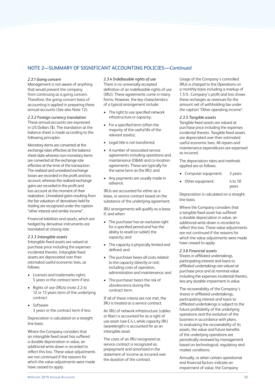#### *2.3.1 Going concern*

Management is not aware of anything that would prevent the company from continuing as a going concern. Therefore, the going concern basis of accounting is applied in preparing these annual accounts (See also Note 12).

*2.3.2 Foreign currency translation*

These annual accounts are expressed in US Dollars (\$). The translation at the balance sheet is made according to the following principles:

Monetary items are converted at the exchange rates effective at the balance sheet date whereas non-monetary items are converted at the exchange rate effective at the time of the transaction. The realized and unrealized exchange losses are recorded in the profit and loss account, whereas the realized exchange gains are recorded in the profit and loss account at the moment of their realization. Unrealized gains resulting from the fair valuation of derivatives held for trading are recognized under the caption "other interest and similar income".

Financial liabilities and assets, which are hedged by derivative instruments are translated at closing rate.

#### *2.3.3 Intangible assets*

Intangible fixed assets are valued at purchase price including the expenses incidental thereto. Intangible fixed assets are depreciated over their estimated useful economic lives, as follows:

- Licenses and trademarks rights 5 years or the contract term if less
- Rights of use (IRUs) (note 2.2.4) 12 or 13 years term of the underlying contract
- **Software** 3 years or the contract term if less

Depreciation is calculated on a straight line basis.

Where the Company considers that an intangible fixed asset has suffered a durable depreciation in value, an additional write-down is recorded to reflect this loss. These value adjustments are not continued if the reasons for which the value adjustments were made have ceased to apply.

## *2.3.4 Indefeasible rights of use*

There is no universally-accepted definition of an indefeasible rights of use (IRU). These agreements come in many forms. However, the key characteristics of a typical arrangement include:

- The right to use specified network infrastructure or capacity;
- For a specified term (often the majority of the useful life of the
- relevant assets); • Legal title is not transferred;
- A number of associated service agreements including operations and maintenance (O&M) and co-location agreements. These are typically for the same term as the IRU; and
- Any payments are usually made in advance.

IRUs are accounted for either as a lease, or service contract based on the substance of the underlying agreement.

IRU arrangements will qualify as a lease if, and when:

- The purchaser has an exclusive right for a specified period and has the ability to resell (or sublet) the capacity; and
- The capacity is physically limited and defined; and
- The purchaser bears all costs related to the capacity (directly or not) including costs of operation, administration and maintenance; and
- The purchaser bears the risk of obsolescence during the contract term.

If all of these criteria are not met, the IRU is treated as a service contract.

An IRU of network infrastructure (cables or fiber) is accounted for as a right of use asset (see E.4.), while capacity IRU (wavelength) is accounted for as an intangible asset.

The costs of an IRU recognized as service contract is recognized as prepayment and amortized in the statement of income as incurred over the duration of the contract.

Usage of the Company's controlled IRUs is charged to the Operations on a monthly basis including a markup of 1.5%. Company's profit and loss shows these recharges as revenues for the amount net of withholding tax under the caption "Other operating income".

#### *2.3.5 Tangible assets*

Tangible fixed assets are valued at purchase price including the expenses incidental thereto. Tangible fixed assets are depreciated over their estimated useful economic lives. All repairs and maintenance expenditures are expensed as incurred.

The depreciation rates and methods applied are as follows:

- Computer equipment: 3 years
- Other equipment: 4 to 10 years

Depreciation is calculated on a straightline basis.

Where the Company considers that a tangible fixed asset has suffered a durable depreciation in value, an additional write-down is recorded to reflect this loss. These value adjustments are not continued if the reasons for which the value adjustments were made have ceased to apply.

#### *2.3.6 Financial assets*

Shares in affiliated undertakings, participating interest and loans to affiliated undertakings are valued at purchase price and at nominal value including the expenses incidental thereto, less any durable impairment in value.

The recoverability of the Company's shares in affiliated undertakings, participating interest and loans to affiliated undertakings is subject to the future profitability of the underlying operations and the evolution of the business in accordance with plans. In evaluating the recoverability of its assets, the value and future benefits of the underlying operations are periodically reviewed by management based on technological, regulatory and market conditions.

Annually, or when certain operational and financial factors indicate an impairment of value, the Company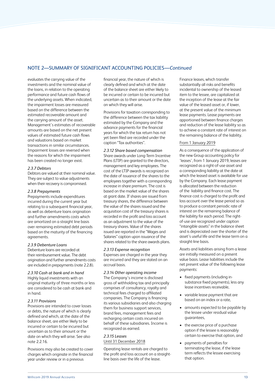evaluates the carrying value of the investments and the nominal value of the loans, in relation to the operating performance and future cash flows of the underlying assets. When indicated, the impairment losses are measured based on the difference between the estimated recoverable amount and the carrying amount of the asset. Management's estimates of recoverable amounts are based on the net present values of estimated future cash flows and valuations based on market transactions in similar circumstances. Impairment losses are reversed when the reasons for which the impairment has been created no longer exist.

#### *2.3.7 Debtors*

Debtors are valued at their nominal value. They are subject to value adjustments when their recovery is compromised.

#### *2.3.8 Prepayments*

Prepayments include expenditures incurred during the current year but relating to a subsequent financial year, as well as debenture loans origination and further amendments costs which are amortized on a straight line basis over remaining estimated debt periods based on the maturity of the financing agreements.

#### *2.3.9 Debenture Loans*

Debenture loans are recorded at their reimbursement value. The debt origination and further amendments costs are included in prepayments (note 2.2.8).

#### *2.3.10 Cash at bank and in hand*

Highly liquid investments with an original maturity of three months or less are considered to be cash at bank and in hand.

#### *2.3.11 Provisions*

Provisions are intended to cover losses or debts, the nature of which is clearly defined and which, at the date of the balance sheet, are either likely to be incurred or certain to be incurred but uncertain as to their amount or the date on which they will arise. See also note 2.2.16.

Provisions may also be created to cover charges which originate in the financial year under review or in a previous

financial year, the nature of which is clearly defined and which at the date of the balance sheet are either likely to be incurred or certain to be incurred but uncertain as to their amount or the date on which they will arise.

Provisions for taxation corresponding to the difference between the tax liability estimated by the Company and the advance payments for the financial years for which the tax return has not yet been filed are recorded under the caption "Tax authorities".

#### *2.3.12 Share based compensation*

Share awards under Long-Term Incentive Plans (LTIP) are granted to the directors, management and key employees. The cost of the LTIP awards is recognized on the date of issuance of the shares to the employees together with a corresponding increase in share premium. The cost is based on the market value of the shares at grant date. If shares are issued from treasury shares, the difference between the value of the shares issued and the acquisition cost of the treasury shares is recorded in the profit and loss account as an adjustment to the value of the treasury shares. Value of the shares issued are reported in the "Wages and Salaries" caption upon issuance of the shares related to the share awards plans.

#### *2.3.13 Expense recognition*

Expenses are charged in the year they are incurred and they are stated on an accrual basis.

#### *2.3.14 Other operating income*

The Company's income is disclosed gross of withholding tax and principally comprises of consultancy, royalty and technical fees charged to affiliated companies. The Company is financing its various subsidiaries and also charging them for business support services, brand fees, management fees and recharging certain costs incurred on behalf of these subsidiaries. Income is recognized as earned.

#### *2.3.15 Leases* Until 31 December 2018

Operating lease rentals are charged to the profit and loss account on a straightline basis over the life of the lease.

Finance leases, which transfer substantially all risks and benefits incidental to ownership of the leased item to the lessee, are capitalized at the inception of the lease at the fair value of the leased asset or, if lower at the present value of the minimum lease payments. Lease payments are apportioned between finance charges and reduction of the lease liability so as to achieve a constant rate of interest on the remaining balance of the liability.

#### From 1 January 2019

As a consequence of the application of the new Group accounting policy for 'leases', from 1 January 2019, leases are recognized as a right-of-use asset and a corresponding liability at the date at which the leased asset is available for use by the Company. Each lease payment is allocated between the reduction of the liability and finance cost. The finance cost is charged to the profit and loss account over the lease period so as to produce a constant periodic rate of interest on the remaining balance of the liability for each period. The rightof-use are recognized under caption "intangible assets" in the balance sheet and is depreciated over the shorter of the asset's useful life and the lease term on a straight-line basis.

Assets and liabilities arising from a lease are initially measured on a present value basis. Lease liabilities include the net present value of the following lease payments:

- fixed payments (including insubstance fixed payments), less any lease incentives receivable,
- variable lease payment that are based on an index or a rate,
- amounts expected to be payable by the lessee under residual value guarantees,
- the exercise price of a purchase option if the lessee is reasonably certain to exercise that option, and
- payments of penalties for terminating the lease, if the lease term reflects the lessee exercising that option.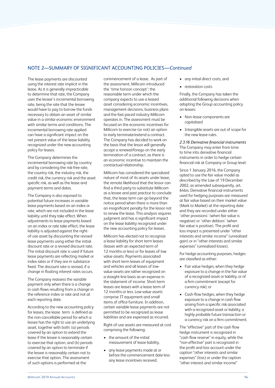The lease payments are discounted using the interest rate implicit in the lease. As it is generally impracticable to determine that rate, the Company uses the lessee's incremental borrowing rate, being the rate that the lessee would have to pay to borrow the funds necessary to obtain an asset of similar value in a similar economic environment with similar terms and conditions. The incremental borrowing rate applied can have a significant impact on the net present value of the lease liability recognized under the new accounting policy for leases.

The Company determines the incremental borrowing rate by country and by considering the risk-free rate, the country risk, the industry risk, the credit risk, the currency risk and the asset specific risk, as well as the lease and payment terms and dates.

The Company is also exposed to potential future increases in variable lease payments based on an index or rate, which are not included in the lease liability until they take effect. When adjustments to lease payments based on an index or rate take effect, the lease liability is adjusted against the rightof-use asset by discounting the revised lease payments using either the initial discount rate or a revised discount rate. The initial discount rate is used if future lease payments are reflecting market or index rates or if they are in substance fixed. The discount rate is revised, if a change in floating interest rates occurs.

The Company reassess the variable payment only when there is a change in cash flows resulting from a change in the reference index or rate and not at each reporting date.

According to the new accounting policy for leases, the lease term is defined as the non-cancellable period for which a lessee has the right to use an underlying asset, together with both: (a) periods covered by an option to extend the lease if the lessee is reasonably certain to exercise that option; and (b) periods covered by an option to terminate if the lessee is reasonably certain not to exercise that option. The assessment of such options is performed at the

commencement of a lease. As part of the assessment, Millicom introduced the 'time horizon concept': the reasonable term under which the company expects to use a leased asset considering economic incentives, management decisions, business plans and the fast-paced industry Millicom operates in. The assessment must be focused on the economic incentives for Millicom to exercise (or not) an option to early terminate/extend a contract. The Company has decided to work on the basis that the lessor will generally accept a renewal/forego on the early termination of a contract, as there is an economic incentive to maintain the contractual relationship.

Millicom has considered the specialized nature of most of its assets under lease, the remote likelihood that the lessor can find a third party to substitute Millicom as a lessee and past practice to conclude that, the lease term can go beyond the notice period when there is more than an insignificant penalty for the lessor not to renew the lease. This analysis requires judgment and has a significant impact on the lease liability recognized under the new accounting policy for leases.

Millicom has elected not to recognize a lease liability for short term leases (leases with an expected term of 12 months or less) or for leases of low value assets. Payments associated with short-term leases of equipment and vehicles and all leases of lowvalue assets are rather recognized on a straight-line basis as an expense in the statement of income. Short-term leases are leases with a lease term of 12 months or less. Low-value assets comprise IT equipment and small items of office furniture. In addition, certain variable lease payments are not permitted to be recognized as lease liabilities and are expensed as incurred.

Right-of-use assets are measured at cost comprising the following:

- the amount of the initial measurement of lease liability,
- any lease payments made at or before the commencement date less any lease incentives received,
- any initial direct costs, and
- restoration costs

Finally, the Company has taken the additional following decisions when adopting the Group accounting policy on leases:

- Non-lease components are capitalized
- Intangible assets are out of scope for the new lease rules.

*2.3.16 Derivative financial instruments* The Company may enter from time to time into derivative financial instruments in order to hedge certain financial risk at Company or Group level.

Since 1 January 2016, the Company opted to use the fair value model as described by the Law of 19 December 2002, as amended subsequently, art. 64bis. Derivative financial instruments used for hedging purposes are measured at fair value based on their market value (Mark to Market) at the reporting date and they are recorded under either 'other provisions' (when fair value is negative) or 'other debtors' (when fair value is positive). The profit and loss impact is presented under "other interests and similar income" (unrealized gain) or in "other interests and similar expenses" (unrealized losses).

For hedge accounting purposes, hedges are classified as either:

- Fair value hedges, when they hedge exposure to a change in the fair value of a recognized asset or liability, or of a firm commitment (except for currency risk); or
- Cash-flow hedges, when they hedge exposure to a change in cash flow arising from a specific risk associated with a recognized asset or liability, a highly probable future transaction or a currency risk on a firm commitment.

The "effective" part of the cash flow hedge instrument is recognized in "cash flow reserve" in equity, while the "non-effective" part is recognized in the profit and loss account under the caption "other interests and similar expenses" (loss) or under the caption "other interest and similar income"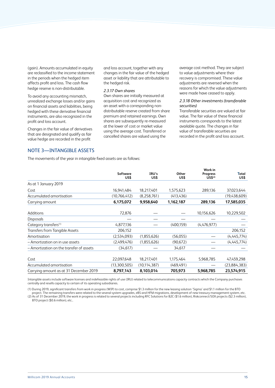(gain). Amounts accumulated in equity are reclassified to the income statement in the periods when the hedged item affects profit and loss. The cash flow hedge reserve is non-distributable.

To avoid any accounting mismatch, unrealized exchange losses and/or gains on financial assets and liabilities, being hedged with these derivative financial instruments, are also recognized in the profit and loss account.

Changes in the fair value of derivatives that are designated and qualify as fair value hedge are recorded in the profit

and loss account, together with any changes in the fair value of the hedged asset or liability that are attributable to the hedged risk.

#### *2.3.17 Own shares*

Own shares are initially measured at acquisition cost and recognized as an asset with a corresponding nondistributable reserve created from share premium and retained earnings. Own shares are subsequently re-measured at the lower of cost or market value using the average cost. Transferred or cancelled shares are valued using the

average cost method. They are subject to value adjustments where their recovery is compromised. These value adjustments are reversed when the reasons for which the value adjustments were made have ceased to apply.

#### *2.3.18 Other investments (transferable securities)*

Transferable securities are valued at fair value. The fair value of these financial instruments corresponds to the latest available quote. The changes in fair value of transferable securities are recorded in the profit and loss account.

#### NOTE 3—INTANGIBLE ASSETS

The movements of the year in intangible fixed assets are as follows:

|                                          |              |                |            | Work in            |              |  |
|------------------------------------------|--------------|----------------|------------|--------------------|--------------|--|
|                                          | Software     | IRU's          | Other      | <b>Progress</b>    | Total        |  |
|                                          | US\$         | US\$           | US\$       | USS <sup>(2)</sup> | US\$         |  |
| As at 1 January 2019                     |              |                |            |                    |              |  |
| Cost                                     | 16,941,484   | 18,217,401     | 1,575,623  | 289,136            | 37,023,644   |  |
| Accumulated amortisation                 | (10,766,412) | (8,258,761)    | (413, 436) |                    | (19,438,609) |  |
| Carrying amount                          | 6,175,072    | 9,958,640      | 1,162,187  | 289,136            | 17,585,035   |  |
| Additions                                | 72,876       |                |            | 10,156,626         | 10,229,502   |  |
| <b>Disposals</b>                         |              |                |            |                    |              |  |
| Category transfers <sup>(1)</sup>        | 4,877,136    |                | (400, 159) | (4,476,977)        |              |  |
| Transfers from Tangible Assets           | 206,152      |                |            |                    | 206,152      |  |
| Amortisation                             | (2,534,093)  | (1,855,626)    | (56,055)   |                    | (4,445,774)  |  |
| – Amortization on in use assets          | (2,499,476)  | (1,855,626)    | (90, 672)  |                    | (4,445,774)  |  |
| – Amortization on the transfer of assets | (34,617)     |                | 34,617     |                    |              |  |
| Cost                                     | 22,097,648   | 18,217,401     | 1,175,464  | 5,968,785          | 47,459,298   |  |
| Accumulated amortisation                 | (13,300,505) | (10, 114, 387) | (469, 491) |                    | (23,884,383) |  |
| Carrying amount as at 31 December 2019   | 8,797,143    | 8,103,014      | 705,973    | 5,968,785          | 23,574,915   |  |

Intangible assets include software licenses and indefeasible rights of use (IRU) related to telecommunications capacity contracts which the Company purchases centrally and resells capacity to certain of its operating subsidiaries.

(1) During 2019, significant transfers from work in progress (WIP) to cost, comprise \$1.3 million for the new leasing solution 'Sigma' and \$1.1 million for the BTO project. The remaining transfers were related to the several system upgrades, eBS and HFM migrations, development of new treasury management system, etc. (2) As of 31 December 2019, the work in progress is related to several projects including RFC Solutions for B2C (\$1.6 million), Riskconnect/SOX projects (\$2.3 million),

BTO project (\$0.6 million), etc..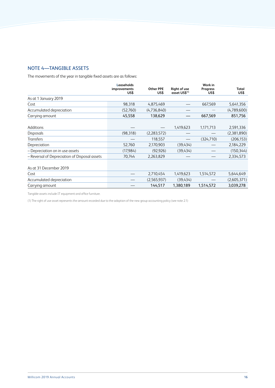## NOTE 4—TANGIBLE ASSETS

The movements of the year in tangible fixed assets are as follows:

|                                               | Leaseholds<br>improvements<br>US\$ | <b>Other PPE</b><br>US\$ | <b>Right of use</b><br>asset US\$ <sup>(1)</sup> | Work in<br><b>Progress</b><br>US\$ | Total<br>US\$            |
|-----------------------------------------------|------------------------------------|--------------------------|--------------------------------------------------|------------------------------------|--------------------------|
| As at 1 January 2019                          |                                    |                          |                                                  |                                    |                          |
| Cost                                          | 98,318                             | 4,875,469                |                                                  | 667,569                            | 5,641,356                |
| Accumulated depreciation                      | (52,760)                           | (4,736,840)              |                                                  |                                    | (4,789,600)              |
| Carrying amount                               | 45,558                             | 138,629                  |                                                  | 667,569                            | 851,756                  |
| Additions                                     | (98, 318)                          | (2,283,572)              | 1,419,623                                        | 1,171,713                          | 2,591,336<br>(2,381,890) |
| <b>Disposals</b><br>Transfers                 |                                    | 118,557                  |                                                  | (324,710)                          | (206, 153)               |
| Depreciation                                  | 52,760                             | 2,170,903                | (39,434)                                         |                                    | 2,184,229                |
| - Depreciation on in use assets               | (17,984)                           | (92, 926)                | (39,434)                                         |                                    | (150, 344)               |
| - Reversal of Depreciation of Disposal assets | 70,744                             | 2,263,829                |                                                  |                                    | 2,334,573                |
| As at 31 December 2019                        |                                    |                          |                                                  |                                    |                          |
| Cost                                          |                                    | 2,710,454                | 1,419,623                                        | 1,514,572                          | 5,644,649                |
| Accumulated depreciation                      |                                    | (2,565,937)              | (39,434)                                         |                                    | (2,605,371)              |
| Carrying amount                               |                                    | 144,517                  | 1,380,189                                        | 1,514,572                          | 3,039,278                |

Tangible assets include IT equipment and office furniture.

(1) The right of use asset represents the amount recorded due to the adoption of the new group accounting policy (see note 2.1)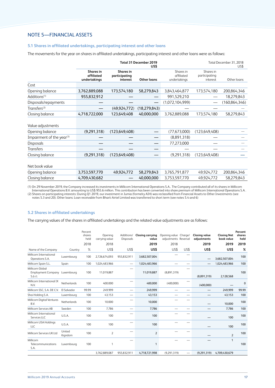## NOTE 5—FINANCIAL ASSETS

#### **5.1 Shares in affiliated undertakings, participating interest and other loans**

The movements for the year on shares in affiliated undertakings, participating interest and other loans were as follows:

|                                       |                                                |                                               | <b>Total 31 December 2019</b><br>US\$ |                                         | Total December 31, 2018<br>US\$        |                 |
|---------------------------------------|------------------------------------------------|-----------------------------------------------|---------------------------------------|-----------------------------------------|----------------------------------------|-----------------|
|                                       | <b>Shares</b> in<br>affiliated<br>undertakings | <b>Shares in</b><br>participating<br>interest | <b>Other loans</b>                    | Shares in<br>affiliated<br>undertakings | Shares in<br>participating<br>interest | Other loans     |
| Cost                                  |                                                |                                               |                                       |                                         |                                        |                 |
| Opening balance                       | 3,762,889,088                                  | 173,574,180                                   | 58,279,843                            | 3,843,464,877                           | 173,574,180                            | 200,864,346     |
| Additions <sup>(1)</sup>              | 955,832,912                                    |                                               |                                       | 991,529,210                             |                                        | 18,279,843      |
| Disposals/repayments                  |                                                |                                               |                                       | (1,072,104,999)                         |                                        | (160, 864, 346) |
| Transfers <sup>(2)</sup>              |                                                | (49, 924, 772)                                | (18, 279, 843)                        |                                         |                                        |                 |
| Closing balance                       | 4,718,722,000                                  | 123,649,408                                   | 40,000,000                            | 3,762,889,088                           | 173,574,180                            | 58,279,843      |
| Value adjustments                     |                                                |                                               |                                       |                                         |                                        |                 |
| Opening balance                       | (9,291,318)                                    | (123, 649, 408)                               |                                       | (77, 673, 000)                          | (123, 649, 408)                        |                 |
| Impairment of the year <sup>(3)</sup> |                                                |                                               |                                       | (8,891,318)                             |                                        |                 |
| Disposals                             |                                                |                                               |                                       | 77,273,000                              |                                        |                 |
| Transfers                             |                                                |                                               |                                       |                                         |                                        |                 |
| Closing balance                       | (9,291,318)                                    | (123, 649, 408)                               |                                       | (9,291,318)                             | (123, 649, 408)                        |                 |
| Net book value                        |                                                |                                               |                                       |                                         |                                        |                 |
| Opening balance                       | 3,753,597,770                                  | 49,924,772                                    | 58,279,843                            | 3,765,791,877                           | 49,924,772                             | 200,864,346     |
| Closing balance                       | 4,709,430,682                                  |                                               | 40,000,000                            | 3,753,597,770                           | 49,924,772                             | 58,279,843      |

.1) On 29 November 2019, the Company increased its investments in Millicom International Operations S.A.. The Company contributed all of its shares in Millicom<br>. International Operations B.V. amounting to US\$ 955.6 million (2) Shares on participating interests: During Q1 2019, our investment in Jumia (formelry AIH) was reclassified from Financial Assets to Other Investments (see

notes 5.3 and 20). Other loans: Loan receivable from Bharti Airtel Limited was transferred to short term (see notes 5.4 and 6)

#### **5.2 Shares in affiliated undertakings**

The carrying values of the shares in affiliated undertakings and the related value adjustments are as follows:

|                                                             |                   | Percent<br>shares<br>held | Opening<br>carrying value | Additions/<br>Disposals  | <b>Closing carrying</b><br>value | Opening value Charge/<br>adjustments Reversal |      | <b>Closing value</b><br>adjustments | <b>Closing Net</b><br>book value | Percent<br>shares<br>held |
|-------------------------------------------------------------|-------------------|---------------------------|---------------------------|--------------------------|----------------------------------|-----------------------------------------------|------|-------------------------------------|----------------------------------|---------------------------|
|                                                             |                   | 2018                      | 2018                      |                          | 2019                             | 2018                                          |      | 2019                                | 2019                             | 2019                      |
| Name of the Company                                         | Country           | %                         | US\$                      | US\$                     | US\$                             | US\$                                          | US\$ | US\$                                | US\$                             | %                         |
| Millicom International<br>Operations S.A.                   | Luxembourg        | 100                       | 2,726,674,093             | 955.832.911              | 3,682,507,004                    |                                               |      |                                     | 3,682,507,004                    | 100                       |
| Millicom Spain S.L.                                         | Spain             | 100                       | 1,024,483,966             | $\overline{\phantom{0}}$ | 1,024,483,966                    |                                               |      |                                     | 1,024,483,966                    | 100                       |
| Millicom Global<br>Employment Company Luxembourg<br>S.àr.I. |                   | 100                       | 11.019.887                |                          | 11,019,887                       | (8.891, 319)                                  |      | (8,891,319)                         | 2,128,568                        | 100                       |
| Millicom International IX<br>N.V.                           | Netherlands       | 100                       | 400.000                   |                          | 400,000                          | (400,000)                                     |      | (400,000)                           |                                  | $\mathbf 0$               |
| Millicom SSC, S.A. DE C.V.                                  | FI Salvador       | 99.99                     | 249.999                   | $\overline{\phantom{0}}$ | 249,999                          |                                               |      |                                     | 249,999                          | 99.99                     |
| Shai Holding S.A.                                           | Luxembourg        | 100                       | 43,153                    | —                        | 43,153                           |                                               |      | —                                   | 43,153                           | 100                       |
| Millicom Digital Ventures<br>B.V.                           | Netherlands       | 100                       | 10.000                    |                          | 10,000                           |                                               |      |                                     | 10.000                           | 100                       |
| Millicom Services AB                                        | Sweden            | 100                       | 7.786                     | $\overline{\phantom{0}}$ | 7,786                            |                                               |      |                                     | 7,786                            | 100                       |
| Millicom International<br>Services LLC                      | U.S.A.            | 100                       | 100                       |                          | 100                              |                                               |      |                                     | 100                              | 100                       |
| Millicom USA Holdings<br>LLC                                | U.S.A.            | 100                       | 100                       |                          | 100                              |                                               |      |                                     | 100                              | 100                       |
| Millicom Services UK Ltd                                    | United<br>Kigndom | 100                       | $\overline{2}$            |                          | $\overline{2}$                   |                                               |      |                                     | $\overline{2}$                   | 100                       |
| Millicom<br>Telecommunications<br>S.A.                      | Luxembourg        | 100                       | 1                         |                          | 1                                |                                               |      |                                     | $\mathbf{1}$                     | 100                       |
|                                                             |                   |                           | 3.762.889.087             | 955.832.911              | 4.718.721.998                    | (9.291.319)                                   |      | (9.291.319)                         | 4.709.430.679                    |                           |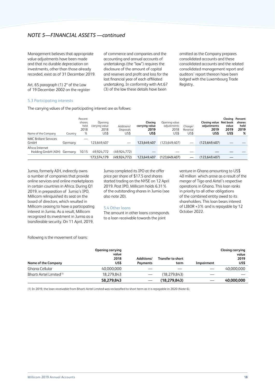## *NOTE 5*—*FINANCIAL ASSETS* —*continued*

Management believes that appropriate value adjustments have been made and that no durable depreciation on investments, other than those already recorded, exist as of 31 December 2019.

Art. 65 paragraph (1) 2º of the Law of 19 December 2002 on the register of commerce and companies and the accounting and annual accounts of undertakings (the "law") requires the disclosure of the amount of capital and reserves and profit and loss for the last financial year of each affiliated undertaking. In conformity with Art.67 (3) of the law these details have been

omitted as the Company prepares consolidated accounts and these consolidated accounts and the related consolidated management report and auditors' report thereon have been lodged with the Luxembourg Trade Registry.

#### 5.3 Participating interests

The carrying values of the participating interest are as follows:

| Name of the Company                           | Country | Percent<br>shares<br>held<br>2018<br>℅ | Opening<br>carrying value<br>2018<br>US\$ | Additions/<br>Disposals<br>US\$ | Closing<br>carrying value<br>2019<br>US\$ | Opening value<br>adjustments<br>2018<br>US\$ | Charge/<br>Reversal<br>US\$ | Closing value Net book<br>adjustments<br>2019<br>US\$ | value<br>2019<br>US\$ | Closing Percent<br>shares<br>held<br>2019<br>% |
|-----------------------------------------------|---------|----------------------------------------|-------------------------------------------|---------------------------------|-------------------------------------------|----------------------------------------------|-----------------------------|-------------------------------------------------------|-----------------------|------------------------------------------------|
| <b>MKC Brillant Services</b><br>GmbH          | Germany |                                        | 123.649.407                               | —                               | 123.649.407                               | (123.649.407)                                |                             | (123.649.407)                                         |                       |                                                |
| Africa Internet<br>Holding GmbH (AIH) Germany |         | 10.15                                  | 49.924.772                                | (49.924.772)                    |                                           |                                              |                             |                                                       |                       |                                                |
|                                               |         |                                        | 173.574.179                               | (49.924.772)                    | 123.649.407                               | (123, 649, 407)                              |                             | (123,649,407)                                         |                       |                                                |

Jumia, formerly AIH, indirectly owns a number of companies that provide online services and online marketplaces in certain countries in Africa. During Q1 2019, in preparation of Jumia's IPO, Millicom relinquished its seat on the board of directors, which resulted in Millicom ceasing to have a participating interest in Jumia. As a result, Millicom recognized its investment in Jumia as a transferable security. On 11 April, 2019,

Jumia completed its IPO at the offer price per share of \$17.5 and shares started trading on the NYSE on 12 April 2019. Post IPO, Millicom holds 6.31% of the outstanding shares in Jumia (see also note 20).

#### 5.4 Other loans

The amount in other loans corresponds to a loan receivable towards the joint

venture in Ghana amounting to US\$ 40 million which arose as a result of the merger of Tigo and Airtel's respective operations in Ghana. This loan ranks in priority to all other obligations of the combined entity owed to its shareholders. This loan bears interest of LIBOR +3% and is repayable by 12 October 2022.

Following is the movement of loans:

| <b>Name of the Company</b>           | <b>Opening carrying</b><br>value<br>2018<br>US\$ | <b>Additions/</b><br>Payments | <b>Transfer to short</b><br>term | Impairment | <b>Closing carrying</b><br>value<br>2019<br>US\$ |
|--------------------------------------|--------------------------------------------------|-------------------------------|----------------------------------|------------|--------------------------------------------------|
| Ghana Cellular                       | 40,000,000                                       |                               |                                  |            | 40,000,000                                       |
| Bharti Airtel Limited <sup>(1)</sup> | 18.279.843                                       | $\hspace{0.05cm}$             | (18, 279, 843)                   |            |                                                  |
|                                      | 58,279,843                                       |                               | (18, 279, 843)                   |            | 40,000,000                                       |

(1) In 2019, the loan receivable from Bharti Airtel Limited was reclassified to short term as it is repayable in 2020 (Note 6).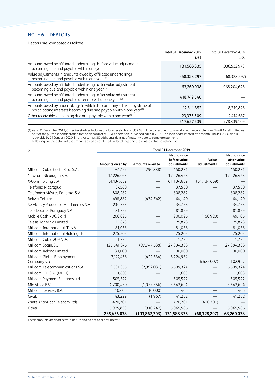## NOTE 6—DEBTORS

Debtors are composed as follows:

|                                                                                                                                                             | Total 31 December 2019<br>US\$ | Total 31 December 2018<br>US\$ |
|-------------------------------------------------------------------------------------------------------------------------------------------------------------|--------------------------------|--------------------------------|
| Amounts owed by affiliated undertakings before value adjustment<br>becoming due and payable within one year                                                 | 131,588,335                    | 1,036,532,943                  |
| Value adjustments in amounts owed by affiliated undertakings<br>becoming due and payable within one year <sup>(3)</sup>                                     | (68, 328, 297)                 | (68.328.297)                   |
| Amounts owed by affiliated undertakings after value adjustment<br>becoming due and payable within one year <sup>(2)</sup>                                   | 63.260.038                     | 968.204.646                    |
| Amounts owed by affiliated undertakings after value adjustment<br>becoming due and payable after more than one year <sup>(3)</sup>                          | 418.749.540                    |                                |
| Amounts owed by undertakings in which the company is linked by virtue of<br>participating interests becoming due and payable within one year <sup>(4)</sup> | 12,311,352                     | 8.219.826                      |
| Other receivables becoming due and payable within one year <sup>(1)</sup>                                                                                   | 23,336,609                     | 2,414,637                      |
|                                                                                                                                                             | 517.657.539                    | 978.839.109                    |

(1) As of 31 December 2019, Other Receivables includes the loan receivable of US\$ 18 million corresponds to a vendor loan receivable from Bharti Airtel Limited as part of the purchase consideration for the disposal of MICSA's operation in Rwanda back in 2018. This loan bears interest of 3 month LIBOR + 2.2% and is repayable by 31 January 2020. Bharti Airtel has 30 additional days as of maturity date to complete payment. Following are the details of the amounts owed by affiliated undertakings and the related value adjustments:

| (2)                                            | <b>Total 31 December 2019</b> |                 |                                                   |                      |                                                  |  |  |  |
|------------------------------------------------|-------------------------------|-----------------|---------------------------------------------------|----------------------|--------------------------------------------------|--|--|--|
|                                                | Amounts owed by               | Amounts owed to | <b>Net balance</b><br>before value<br>adjustments | Value<br>adjustments | <b>Net balance</b><br>after value<br>adjustments |  |  |  |
| Millicom Cable Costa Rica, S.A.                | 741,159                       | (290, 888)      | 450,271                                           |                      | 450,271                                          |  |  |  |
| Newcom Nicaragua S.A.                          | 17,226,468                    |                 | 17,226,468                                        |                      | 17,226,468                                       |  |  |  |
| X-Com Holding S.A.                             | 61,134,669                    |                 | 61,134,669                                        | (61, 134, 669)       |                                                  |  |  |  |
| Telefonia Nicaragua                            | 37,560                        |                 | 37,560                                            |                      | 37,560                                           |  |  |  |
| Telefónica Móviles Panama, S.A.                | 808,282                       |                 | 808,282                                           |                      | 808,282                                          |  |  |  |
| <b>Bolivia Cellular</b>                        | 498,882                       | (434, 742)      | 64,140                                            |                      | 64,140                                           |  |  |  |
| Servicios y Productos Multimedios S.A          | 234,778                       |                 | 234,778                                           |                      | 234,778                                          |  |  |  |
| Teledeportes Paraguay S.A                      | 81,859                        |                 | 81,859                                            |                      | 81,859                                           |  |  |  |
| Mobile Cash RDC S.à r.l                        | 200,026                       |                 | 200,026                                           | (150, 920)           | 49,106                                           |  |  |  |
| Telesis Tanzania Limited                       | 25,878                        |                 | 25,878                                            |                      | 25,878                                           |  |  |  |
| Millicom International III N.V.                | 81,038                        |                 | 81,038                                            |                      | 81,038                                           |  |  |  |
| Millicom International Holding Ltd.            | 275,205                       |                 | 275,205                                           |                      | 275,205                                          |  |  |  |
| Millicom Cable 209 N.V.                        | 1,772                         |                 | 1,772                                             |                      | 1,772                                            |  |  |  |
| Millicom Spain, S.L.                           | 125,641,876                   | (97,747,538)    | 27,894,338                                        |                      | 27,894,338                                       |  |  |  |
| Millicom Ireland Limited                       | 30,000                        |                 | 30,000                                            |                      | 30,000                                           |  |  |  |
| Millicom Global Employment<br>Company S.à r.l. | 7,147,468                     | (422, 534)      | 6,724,934                                         | (6,622,007)          | 102,927                                          |  |  |  |
| Millicom Telecommunications S.A.               | 9,631,355                     | (2,992,031)     | 6,639,324                                         |                      | 6,639,324                                        |  |  |  |
| Millicom LIH S.A. (MLIH)                       | 1,603                         |                 | 1,603                                             |                      | 1,603                                            |  |  |  |
| Millicom Payment Solutions Ltd.                | 505,542                       |                 | 505,542                                           |                      | 505,542                                          |  |  |  |
| Mic Africa B.V.                                | 4,700,450                     | (1,057,756)     | 3,642,694                                         |                      | 3,642,694                                        |  |  |  |
| Millicom Services B.V.                         | 10,405                        | (10,000)        | 405                                               |                      | 405                                              |  |  |  |
| Civab                                          | 43,229                        | (1, 967)        | 41,262                                            |                      | 41,262                                           |  |  |  |
| Zantel (Zanzibar Telecom Ltd)                  | 420,701                       |                 | 420,701                                           | (420, 701)           |                                                  |  |  |  |
| Other                                          | 5,975,833                     | (910, 247)      | 5,065,586                                         |                      | 5,065,586                                        |  |  |  |
|                                                | 235,456,038                   | (103, 867, 703) | 131,588,335                                       | (68, 328, 297)       | 63,260,038                                       |  |  |  |

These amounts are short-term in nature and do not bear any interest.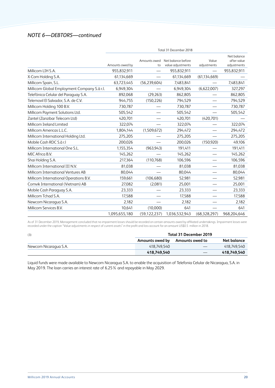## *NOTE 6—DEBTORS—continued*

|                                             |                 |                | Total 31 December 2018 |                |             |
|---------------------------------------------|-----------------|----------------|------------------------|----------------|-------------|
|                                             |                 |                |                        |                | Net balance |
|                                             |                 | Amounts owed   | Net balance before     | Value          | after value |
|                                             | Amounts owed by | to             | value adjustments      | adjustments    | adjustments |
| Millicom LIH S.A.                           | 955,832,911     |                | 955,832,911            |                | 955,832,911 |
| X-Com Holding S.A.                          | 61,134,669      |                | 61,134,669             | (61, 134, 669) |             |
| Millicom Spain, S.L.                        | 63,723,445      | (56, 239, 604) | 7,483,841              |                | 7,483,841   |
| Millicom Global Employment Company S.à r.l. | 6,949,304       |                | 6,949,304              | (6,622,007)    | 327,297     |
| Telefónica Celular del Paraguay S.A.        | 892,068         | (29, 263)      | 862,805                |                | 862,805     |
| Telemovil El Salvador, S.A. de C.V.         | 944,755         | (150, 226)     | 794,529                |                | 794,529     |
| Millicom Holding 100 B.V.                   | 730,787         |                | 730,787                |                | 730,787     |
| Millicom Payment Solutions Ltd.             | 505,542         |                | 505,542                |                | 505,542     |
| Zantel (Zanzibar Telecom Ltd)               | 420,701         |                | 420,701                | (420, 701)     |             |
| Millicom Ireland Limited                    | 322,074         |                | 322,074                |                | 322,074     |
| Millicom Americas L.L.C.                    | 1,804,144       | (1,509,672)    | 294,472                |                | 294,472     |
| Millicom International Holding Ltd.         | 275,205         |                | 275,205                |                | 275,205     |
| Mobile Cash RDC S.à r.l                     | 200,026         |                | 200,026                | (150, 920)     | 49,106      |
| Millicom International One S.L.             | 1,155,354       | (963, 943)     | 191,411                |                | 191,411     |
| MIC Africa B.V.                             | 145,262         |                | 145,262                |                | 145,262     |
| Shai Holding S.A.                           | 217,364         | (110, 768)     | 106,596                |                | 106,596     |
| Millicom International III N.V.             | 81,038          |                | 81,038                 |                | 81,038      |
| Millicom International Ventures AB          | 80,044          |                | 80,044                 |                | 80,044      |
| Millicom International Operations B.V.      | 159,661         | (106, 680)     | 52,981                 |                | 52,981      |
| Comvik International (Vietnam) AB           | 27,082          | (2,081)        | 25,001                 |                | 25,001      |
| Mobile Cash Paraguay S.A.                   | 23,333          |                | 23,333                 |                | 23,333      |
| Millicom Tchad S.A.                         | 17,588          |                | 17,588                 |                | 17,588      |
| Newcom Nicaragua S.A.                       | 2,182           |                | 2,182                  |                | 2,182       |
| Millicom Services B.V.                      | 10,641          | (10,000)       | 641                    |                | 641         |
|                                             | 1,095,655,180   | (59, 122, 237) | 1,036,532,943          | (68, 328, 297) | 968,204,646 |

As of 31 December 2019, Management concluded that no impairment losses should be recorded on certain amounts owed by affiliated undertakings. Impairment losses were recorded under the caption "Value adjustments in respect of current assets" in the profit and loss account for an amount US\$0.5 million in 2018.

| (3)                   | Total 31 December 2019 |                 |             |  |
|-----------------------|------------------------|-----------------|-------------|--|
|                       | Amounts owed by        | Amounts owed to | Net balance |  |
| Newcom Nicaragua S.A. | 418.749.540            |                 | 418.749.540 |  |
|                       | 418,749,540            |                 | 418,749,540 |  |

Liquid funds were made available to Newcom Nicaragua S.A. to enable the acquisition of Telefonia Celular de Nicaragua, S.A. in May 2019. The loan carries an interest rate of 6.25% and repayable in May 2029.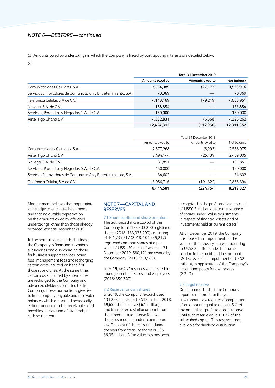## *NOTE 6—DEBTORS—continued*

(3) Amounts owed by undertakings in which the Company is linked by participating interests are detailed below:

(4)

|                                                               | <b>Total 31 December 2019</b> |                 |                    |  |  |
|---------------------------------------------------------------|-------------------------------|-----------------|--------------------|--|--|
|                                                               | Amounts owed by               | Amounts owed to | <b>Net balance</b> |  |  |
| Comunicaciones Celulares, S.A.                                | 3,564,089                     | (27, 173)       | 3,536,916          |  |  |
| Servicios Innovadores de Comunicación y Entretenimiento, S.A. | 70,369                        |                 | 70,369             |  |  |
| Telefonica Celular, S.A de C.V.                               | 4,148,169                     | (79,219)        | 4,068,951          |  |  |
| Navega, S.A. de C.V.                                          | 158.854                       |                 | 158,854            |  |  |
| Servicios, Productos y Negocios, S.A. de C.V.                 | 150,000                       |                 | 150,000            |  |  |
| Airtel Tigo Ghana (JV)                                        | 4,332,831                     | (6,568)         | 4,326,262          |  |  |
|                                                               | 12,424,312                    | (112,960)       | 12,311,352         |  |  |

|                                                               | Total 31 December 2018 |                 |             |
|---------------------------------------------------------------|------------------------|-----------------|-------------|
|                                                               | Amounts owed by        | Amounts owed to | Net balance |
| Comunicaciones Celulares, S.A.                                | 2,577,268              | (8,293)         | 2,568,975   |
| Airtel Tigo Ghana (JV)                                        | 2,494,144              | (25, 139)       | 2,469,005   |
| Navega, S.A. de C.V.                                          | 131,851                |                 | 131,851     |
| Servicios, Productos y Negocios, S.A. de C.V.                 | 150,000                |                 | 150,000     |
| Servicios Innovadores de Comunicación y Entretenimiento, S.A. | 34,602                 |                 | 34,602      |
| Telefonica Celular, S.A de C.V.                               | 3,056,716              | (191, 322)      | 2,865,394   |
|                                                               | 8,444,581              | (224,754)       | 8,219,827   |

Management believes that appropriate value adjustments have been made and that no durable depreciation on the amounts owed by affiliated undertakings, other than those already recorded, exist as December 2019

In the normal course of the business, the Company is financing its various subsidiaries and also charging those for business support services, brand fees, management fees and recharging certain costs incurred on behalf of those subsidiaries. At the same time, certain costs incurred by subsidiaries are recharged to the Company and advanced dividends remitted to the Company. These transactions give rise to intercompany payable and receivable balances which are settled periodically either through offset of receivables and payables, declaration of dividends, or cash settlement.

#### NOTE 7—CAPITAL AND RESERVES

7.1 Share capital and share premium The authorized share capital of the Company totals 133,333,200 registered shares (2018: 133,333,200) consisting of 101,739,217 (2018: 101,739,217) registered common shares at a par value of US\$1.50 each, of which at 31 December 2019, 580,141 are owned by the Company (2018: 913,583).

In 2019, 464,714 shares were issued to management, directors, and employees (2018: 350,747).

#### 7.2 Reserve for own shares

In 2019, the Company re-purchased 131,293 shares for US\$12 million (2018: 69,652 shares for US\$6.1 million), and transferred a similar amount from share premium to reserve for own shares as required under Luxembourg law. The cost of shares issued during the year from treasury shares is US\$ 39.35 million. A fair value loss has been

recognized in the profit and loss account of US\$0.5 million due to the issuance of shares under "Value adjustments in respect of financial assets and of investments held as current assets".

At 31 December 2019, the Company has booked an impairment on the value of the treasury shares amounting to US\$8.2 million under the same caption in the profit and loss account (2018: reversal of impairment of US\$2 million), in application of the Company's accounting policy for own shares (2.2.17).

#### 7.3 Legal reserve

On an annual basis, if the Company reports a net profit for the year, Luxembourg law requires appropriation of an amount equal to at least 5% of the annual net profit to a legal reserve until such reserve equals 10% of the subscribed capital. This reserve is not available for dividend distribution.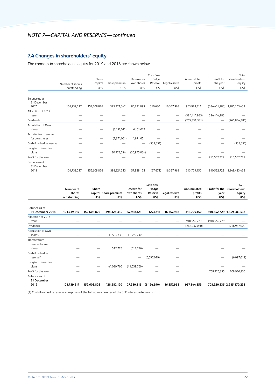## *NOTE 7—CAPITAL AND RESERVES—continued*

## **7.4 Changes in shareholders' equity**

The changes in shareholders' equity for 2019 and 2018 are shown below:

|                         |                  |             |               |              | Cash flow  |               |                 |                 | Total           |
|-------------------------|------------------|-------------|---------------|--------------|------------|---------------|-----------------|-----------------|-----------------|
|                         |                  | Share       |               | Reserve for  | Hedge      |               | Accumulated     | Profit for      | shareholders'   |
|                         | Number of shares | capital     | Share premium | own shares   | Reserve    | Legal reserve | profits         | the year        | equity          |
|                         | outstanding      | US\$        | US\$          | US\$         | US\$       | US\$          | US\$            | US\$            | US\$            |
| Balance as at           |                  |             |               |              |            |               |                 |                 |                 |
| 31 December             |                  |             |               |              |            |               |                 |                 |                 |
| 2017                    | 101,739,217      | 152,608,826 | 375, 371, 342 | 80,891,093   | 310,680    | 16,357,968    | 963,978,514     | (384, 414, 983) | 1,205,103,438   |
| Allocation of 2017      |                  |             |               |              |            |               |                 |                 |                 |
| result                  |                  |             | -             |              |            |               | (384, 414, 983) | 384,414,983     |                 |
| Dividends               |                  |             |               |              |            | --            | (265, 834, 381) | —               | (265, 834, 381) |
| Acquisition of Own      |                  |             |               |              |            |               |                 |                 |                 |
| shares                  |                  |             | (6, 151, 012) | 6,151,012    |            |               |                 |                 |                 |
| Transfer from reserve   |                  |             |               |              |            |               |                 |                 |                 |
| for own shares          |                  |             | (1,871,051)   | 1,871,051    |            |               | -               | —               |                 |
| Cash flow hedge reserve |                  |             |               |              | (338, 351) |               |                 | -               | (338, 351)      |
| Long term incentive     |                  |             |               |              |            |               |                 |                 |                 |
| plans                   |                  |             | 30,975,034    | (30,975,034) |            |               |                 |                 |                 |
| Profit for the year     |                  |             |               |              |            |               | —               | 910,552,729     | 910,552,729     |
| Balance as at           |                  |             |               |              |            |               |                 |                 |                 |
| 31 December             |                  |             |               |              |            |               |                 |                 |                 |
| 2018                    | 101,739,217      | 152,608,826 | 398,324,313   | 57,938,122   | (27, 671)  | 16,357,968    | 313,729,150     | 910,552,729     | 1,849,483,435   |

|                                          | Number of<br>shares | <b>Share</b> | capital Share premium | <b>Reserve for</b><br>own shares | <b>Cash flow</b><br>Hedge<br>Reserve | Legal reserve | Accumulated<br>profits | Profit for the<br>year | Total<br>shareholders'<br>equity |
|------------------------------------------|---------------------|--------------|-----------------------|----------------------------------|--------------------------------------|---------------|------------------------|------------------------|----------------------------------|
|                                          | outstanding         | US\$         | US\$                  | US\$                             | US\$                                 | US\$          | US\$                   | US\$                   | US\$                             |
| <b>Balance</b> as at<br>31 December 2018 | 101,739,217         | 152,608,826  | 398,324,314           | 57,938,121                       | (27, 671)                            | 16,357,968    | 313,729,150            |                        | 910,552,729 1,849,483,437        |
| Allocation of 2018<br>result             |                     |              |                       |                                  |                                      |               | 910,552,729            | (910, 552, 729)        |                                  |
| Dividends                                |                     | --           |                       |                                  |                                      | -             | (266, 937, 020)        | —                      | (266,937,020)                    |
| Acquisition of Own<br>shares             |                     |              | (11, 594, 730)        | 11,594,730                       |                                      |               |                        |                        |                                  |
| Transfer from<br>reserve for own         |                     |              |                       |                                  |                                      |               |                        |                        |                                  |
| shares                                   |                     |              | 512,776               | (512,776)                        |                                      |               |                        |                        |                                  |
| Cash flow hedge<br>$reserve^{(1)}$       |                     |              |                       |                                  | (6,097,019)                          |               |                        |                        | (6,097,019)                      |
| Long term incentive<br>plans             |                     | —            | 41,039,760            | (41,039,760)                     |                                      |               |                        |                        |                                  |
| Profit for the year                      |                     | –            |                       |                                  |                                      |               |                        | 708,920,835            | 708,920,835                      |
| Balance as at<br>31 December<br>2019     | 101,739,217         | 152,608,826  | 428,282,120           | 27,980,315                       | (6, 124, 690)                        | 16,357,968    | 957,344,859            |                        | 708,920,835 2,285,370,233        |
|                                          |                     |              |                       |                                  |                                      |               |                        |                        |                                  |

(1) Cash flow hedge reserve comprises of the fair value changes of the SEK interest rate swaps.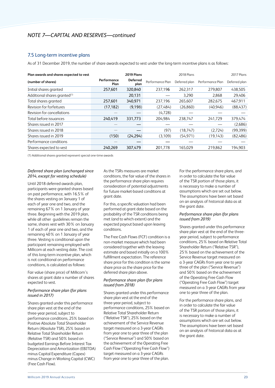## *NOTE 7—CAPITAL AND RESERVES—continued*

#### 7.5 Long-term incentive plans

As of 31 December 2019, the number of share awards expected to vest under the long-term incentive plans is as follows:

| Plan awards and shares expected to vest  |                     | 2019 Plans              |                  | <b>2018 Plans</b> |                  | 2017 Plans    |
|------------------------------------------|---------------------|-------------------------|------------------|-------------------|------------------|---------------|
| (number of shares)                       | Performance<br>Plan | <b>Deferred</b><br>plan | Performance Plan | Deferred plan     | Performance Plan | Deferred plan |
| Initial shares granted                   | 257,601             | 320.840                 | 237,196          | 262.317           | 279.807          | 438,505       |
| Additional shares granted <sup>(1)</sup> |                     | 20,131                  |                  | 3.290             | 2,868            | 29,406        |
| Total shares granted                     | 257.601             | 340.971                 | 237.196          | 265.607           | 282.675          | 467,911       |
| Revision for forfeitures                 | (17, 182)           | (9,198)                 | (27,484)         | (26, 860)         | (40, 946)        | (88, 437)     |
| Revision for cancellations               |                     |                         | (4,728)          |                   |                  |               |
| Total before issuances                   | 240.419             | 331.773                 | 204.984          | 238.747           | 241.729          | 379.474       |
| Shares issued in 2017                    |                     |                         |                  |                   |                  | (2,686)       |
| Shares issued in 2018                    |                     |                         | (97)             | (18,747)          | (2,724)          | (99, 399)     |
| Shares issued in 2019                    | (150)               | (24.294)                | (3,109)          | (54, 971)         | (19, 143)        | (82,486)      |
| Performance conditions                   |                     |                         |                  |                   |                  |               |
| Shares expected to vest                  | 240.269             | 307.479                 | 201.778          | 165.029           | 219.862          | 194.903       |

(1) Additional shares granted represent special one-time awards

#### *Deferred share plan (unchanged since 2014, except for vesting schedule)*

Until 2018 deferred awards plan, participants were granted shares based on past performance, with 16.5% of the shares vesting on January 1 of each of year one and two, and the remaining 67% on 1 January of year three. Beginning with the 2019 plan, while all other guidelines remain the same, shares vest with 30% on January 1 of each of year one and two, and the remaining 40% on 1 January of year three. Vesting is conditional upon the participant remaining employed with Millicom at each vesting date. The cost of this long-term incentive plan, which is not conditional on performance conditions, is calculated as follows:

Fair value (share price) of Millicom's shares at grant date x number of shares expected to vest.

#### *Performance share plan (for plans issued in 2017)*

Shares granted under this performance share plan vest at the end of the three-year period, subject to performance conditions, 25% based on Positive Absolute Total Shareholder Return (Absolute TSR), 25% based on Relative Total Shareholder Return (Relative TSR) and 50% based on budgeted Earnings Before Interest Tax Depreciation and Amortization (EBITDA) minus Capital Expenditure (Capex) minus Change in Working Capital (CWC) (Free Cash Flow).

As the TSRs measures are market conditions, the fair value of the shares in the performance share plan requires consideration of potential adjustments for future market-based conditions at grant date.

For this, a specific valuation had been performed at grant date based on the probability of the TSR conditions being met (and to which extent) and the expected payout based upon leaving conditions.

The Free Cash Flows (FCF) condition is a non-market measure which had been considered together with the leaving estimate and based initially on a 100% fulfillment expectation. The reference share price for this condition is the same share price as the share price for the deferred share plan above.

#### *Performance share plan (for plans issued from 2018)*

Shares granted under this performance share plan vest at the end of the three-year period, subject to performance conditions, 25% based on Relative Total Shareholder Return ("Relative TSR"), 25% based on the achievement of the Service Revenue target measured on a 3-year CAGRs from year one to year three of the plan ("Service Revenue") and 50% based on the achievement of the Operating Free Cash Flow ("Operating Free Cash Flow") target measured on a 3-year CAGRs from year one to year three of the plan.

For the performance share plans, and in order to calculate the fair value of the TSR portion of those plans, it is necessary to make a number of assumptions which are set out below. The assumptions have been set based on an analysis of historical data as at the grant date.

#### *Performance share plan (for plans issued from 2019)*

Shares granted under this performance share plan vest at the end of the threeyear period, subject to performance conditions, 25% based on Relative Total Shareholder Return ("Relative TSR"), 25% based on the achievement of the Service Revenue target measured on a 3-year CAGRs from year one to year three of the plan ("Service Revenue") and 50% based on the achievement of the Operating Free Cash Flow ("Operating Free Cash Flow") target measured on a 3-year CAGRs from year one to year three of the plan.

For the performance share plans, and in order to calculate the fair value of the TSR portion of those plans, it is necessary to make a number of assumptions which are set out below. The assumptions have been set based on an analysis of historical data as at the grant date.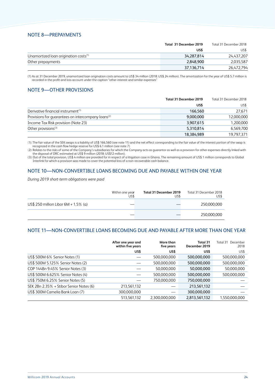#### NOTE 8—PREPAYMENTS

|                                                   | Total 31 December 2019 | Total 31 December 2018 |
|---------------------------------------------------|------------------------|------------------------|
|                                                   | US\$                   | US\$                   |
| Unamortized loan origination costs <sup>(1)</sup> | 34.287.814             | 24.437.207             |
| Other prepayments                                 | 2.848.900              | 2,035,587              |
|                                                   | 37,136,714             | 26.472.794             |

(1) As at 31 December 2019, unamortized loan origination costs amount to US\$ 34 million (2018: US\$ 24 million). The amortization for the year of US\$ 5.7 million is recorded in the profit and loss account under the caption "other interest and similar expenses"

## NOTE 9—OTHER PROVISIONS

|                                                                | Total 31 December 2019 | Total 31 December 2018 |
|----------------------------------------------------------------|------------------------|------------------------|
|                                                                | US\$                   | US\$                   |
| Derivative financial instrument <sup>(1)</sup>                 | 166.560                | 27.671                 |
| Provisions for quarantees on intercompany loans <sup>(2)</sup> | 9,000,000              | 12,000,000             |
| Income Tax Risk provision (Note 23)                            | 3,907,615              | 1,200,000              |
| Other provisions <sup>(3)</sup>                                | 5,310,814              | 6,569,700              |
|                                                                | 18.384.989             | 19.797.371             |

(1): The fair value of the SEK swaps is a liability of US\$ 166,560 (see note 11) and the net effect corresponding to the fair value of the interest portion of the swap is recognized in the cash flow hedge reserve for US\$ 6.1 million (see note 7)

(2): Relates to the risks of some of the Company's subsidiaries for which the Company acts as guarantor as well as a provision for other expenses directly linked with the disposal of DRC estimated at US\$ 9 million (2018: US\$12 million).

(3): Out of the total provision, US\$ 4 million are provided for in respect of a litigation case in Ghana. The remaining amount of US\$ 1 million corresponds to Global Interlink for which a provision was made to cover the potential loss of a non-recoverable cash balance.

#### NOTE 10—NON-CONVERTIBLE LOANS BECOMING DUE AND PAYABLE WITHIN ONE YEAR

*During 2019 short-term obligations were paid*

|                                         | Within one year<br>US\$ | Total 31 December 2019<br>US\$ | Total 31 December 2018<br>US\$ |
|-----------------------------------------|-------------------------|--------------------------------|--------------------------------|
| US\$ 250 million Libor $6M + 1.5\%$ (a) |                         |                                | 250.000.000                    |
|                                         |                         |                                | 250.000.000                    |

#### NOTE 11—NON-CONVERTIBLE LOANS BECOMING DUE AND PAYABLE AFTER MORE THAN ONE YEAR

|                                         | After one year and<br>within five years | More than<br>five years | Total 31<br>December 2019 | Total 31<br>December<br>2018 |
|-----------------------------------------|-----------------------------------------|-------------------------|---------------------------|------------------------------|
|                                         | US\$                                    | US\$                    | US\$                      | US\$                         |
| US\$ 500M 6% Senior Notes (1)           |                                         | 500,000,000             | 500,000,000               | 500,000,000                  |
| US\$ 500M 5.125% Senior Notes (2)       |                                         | 500,000,000             | 500,000,000               | 500,000,000                  |
| COP 144Bn 9.45% Senior Notes (3)        |                                         | 50,000,000              | 50,000,000                | 50,000,000                   |
| US\$ 500M 6.625% Senior Notes (4)       |                                         | 500.000.000             | 500.000.000               | 500,000,000                  |
| US\$ 750M 6.25% Senior Notes (5)        |                                         | 750.000.000             | 750,000,000               |                              |
| SEK 2Bn 2.35% + Stibor Senior Notes (6) | 213,561,132                             |                         | 213,561,132               |                              |
| US\$ 300M Camelia Bank Loan (7)         | 300,000,000                             |                         | 300,000,000               |                              |
|                                         | 513,561,132                             | 2.300.000.000           | 2,813,561,132             | 1.550.000.000                |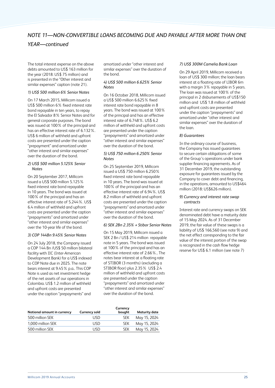## *NOTE 11—NON-CONVERTIBLE LOANS BECOMING DUE AND PAYABLE AFTER MORE THAN ONE YEAR—continued*

The total interest expense on the above debts amounted to US\$ 163 million for the year (2018: US\$ 75 million) and is presented in the "Other interest and similar expenses" caption (note 21).

#### *1) US\$ 500 million 6% Senior Notes*

On 17 March 2015, Millicom issued a US\$ 500 million 6% fixed interest rate bond repayable in ten years, to repay the El Salvador 8% Senior Notes and for general corporate purposes. The bond was issued at 100% of the principal and has an effective interest rate of 6.132%. US\$ 6 million of withheld and upfront costs are presented under the caption "prepayment" and amortized under "other interest and similar expenses" over the duration of the bond.

#### *2) US\$ 500 million 5.125% Senior Notes*

On 20 September 2017, Millicom issued a US\$ 500 million 5.125% fixed interest rate bond repayable in 10 years. The bond was issued at 100% of the principal and has an effective interest rate of 5.244%. US\$ 6.4 million of withheld and upfront costs are presented under the caption "prepayments" and amortized under "other interest and similar expenses" over the 10-year life of the bond.

#### *3) COP 144Bn 9.45% Senior Notes*

On 24 July 2018, the Company issued a COP 144 Bn /US\$ 50 million bilateral facility with IIC (Inter-American Development Bank) for a US\$ indexed to COP Note due in 2025. The note bears interest at 9.45% p.a.. This COP Note is used as net investment hedge of the net assets of our operations in Colombia. US\$ 1.2 million of withheld and upfront costs are presented under the caption "prepayments" and

amortized under "other interest and similar expenses" over the duration of the bond.

#### *4) US\$ 500 million 6.625% Senior Notes*

On 16 October 2018, Millicom issued a US\$ 500 million 6.625% fixed interest rate bond repayable in 8 years. The bond was issued at 100% of the principal and has an effective interest rate of 6.748%. US\$ 6.2 million of withheld and upfront costs are presented under the caption "prepayments" and amortized under "other interest and similar expenses" over the duration of the bond.

#### *5) US\$ 750 million 6.250% Senior Notes*

On 25 September 2019, Millicom issued a US\$ 750 million 6.250% fixed interest rate bond repayable in 10 years. The bond was issued at 100% of the principal and has an effective interest rate of 6.94%. US\$ 8.2 million of withheld and upfront costs are presented under the caption "prepayments" and amortized under "other interest and similar expenses" over the duration of the bond.

#### *6) SEK 2Bn 2.35% + Stibor Senior Notes*

On 15 May 2019, Millicom issued a SEK 2 Bn / US\$ 214 million repayable note in 5 years. The bond was issued at 100% of the principal and has an effective interest rate of 2.66%.. The notes bear interest at a floating rate of STIBOR (3 months) (excluding a STIBOR floor) plus 2.35% US\$ 2.4 million of withheld and upfront costs are presented under the caption "prepayments" and amortized under "other interest and similar expenses" over the duration of the bond.

#### *7) US\$ 300M Camelia Bank Loan*

On 29 April 2019, Millicom received a loan of US\$ 300 million; the loan bears interest at a floating rate of LIBOR 6m with a margin 3% repayable in 5 years. The loan was issued at 100% of the principal in 2 disbursements of US\$150 million and US\$ 1.8 million of withheld and upfront costs are presented under the caption "prepayments" and amortized under "other interest and similar expenses" over the duration of the loan.

#### *8) Guarantees*

In the ordinary course of business, the Company has issued guarantees to secure certain obligations of some of the Group's operations under bank supplier financing agreements. As of 31 December 2019, the outstanding exposure for guarantees issued by the Company to cover debt and financing, in the operations, amounted to US\$464 million (2018: US\$626 million).

#### *9) Currency and interest rate swap contracts*

Interest rate and currency swaps on SEK denominated debt have a maturity date of 15 May 2024. As of 31 December 2019, the fair value of these swaps is a liability of US\$ 166,560 (see note 9) and the net effect corresponding to the fair value of the interest portion of the swap is recognized in the cash flow hedge reserve for US\$ 6.1 million (see note 7)

| Notional amount in currency | Currency sold | Currency<br>bought | <b>Maturity date</b> |
|-----------------------------|---------------|--------------------|----------------------|
| 500 million SEK             | USD           | <b>SEK</b>         | May 15, 2024         |
| 1.000 million SEK           | USD           | SEK.               | May 15, 2024         |
| 500 million SEK             | USD           | <b>SFK</b>         | May 15, 2024         |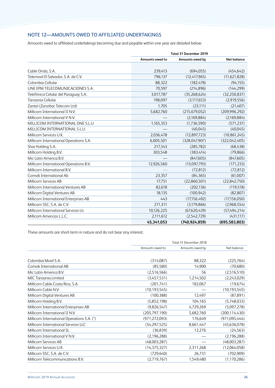## NOTE 12—AMOUNTS OWED TO AFFILIATED UNDERTAKINGS

Amounts owed to affiliated undertakings becoming due and payable within one year are detailed below:

|                                        |                 | <b>Total 31 December 2019</b> |                    |  |
|----------------------------------------|-----------------|-------------------------------|--------------------|--|
|                                        | Amounts owed to | Amounts owed by               | <b>Net balance</b> |  |
|                                        |                 |                               |                    |  |
| Cable Onda, S.A.                       | 239,413         | (694, 055)                    | (454, 642)         |  |
| Telemovil El Salvador, S.A. de C.V.    | 796,137         | (12, 417, 965)                | (11,621,828)       |  |
| Colombia Cellular                      | 88,322          | (182, 478)                    | (94, 155)          |  |
| UNE EPM TELECOMUNICACIONES S.A.        | 70,597          | (214, 896)                    | (144, 299)         |  |
| Telefónica Celular del Paraguay S.A.   | 3,017,787       | (35, 268, 624)                | (32, 250, 837)     |  |
| Tanzania Cellular                      | 198.097         | (3, 117, 653)                 | (2,919,556)        |  |
| Zantel (Zanzibar Telecom Ltd)          | 1,705           | (23, 111)                     | (21,407)           |  |
| Millicom International II N.V.         | 5,682,760       | (215, 679, 052)               | (209, 996, 292)    |  |
| Millicom International V N.V.          |                 | (2,169,884)                   | (2,169,884)        |  |
| MILLICOM INTERNATIONAL ONE S.L.U       | 1,165,353       | (1,736,590)                   | (571, 237)         |  |
| MILLICOM INTERNATIONAL S.L.U           |                 | (40,045)                      | (40,045)           |  |
| Millicom Services U.K.                 | 2,036,478       | (12,897,723)                  | (10, 861, 245)     |  |
| Millicom International Operations S.A. | 6,005,501       | (328, 047, 907)               | (322,042,405)      |  |
| Shai Holding S.A.                      | 217,343         | (285, 782)                    | (68, 438)          |  |
| Millicom Holding B.V.                  | 303,548         | (383, 414)                    | (79, 866)          |  |
| Mic Latin America B.V.                 |                 | (847, 605)                    | (847, 605)         |  |
| Millicom International Operations B.V. | 12,926,560      | (13,097,793)                  | (171, 233)         |  |
| Millicom International B.V.            |                 | (72, 812)                     | (72, 812)          |  |
| Comvik International Ab                | 23,357          | (84, 365)                     | (61,007)           |  |
| Millicom Services AB                   | 17,751          | (22,860,501)                  | (22, 842, 750)     |  |
| Millicom International Ventures AB     | 82,618          | (202, 136)                    | (119, 518)         |  |
| Millicom Digital Ventures AB           | 18,135          | (100, 942)                    | (82, 807)          |  |
| Millicom International Enterprises AB  | 443             | (17, 156, 492)                | (17, 156, 050)     |  |
| Millicom SSC, S.A. de C.V.             | 211,311         | (3, 179, 866)                 | (2,968,554)        |  |
| Millicom International Services Llc    | 10,126,225      | (67,620,439)                  | (57,494,214)       |  |
| Millicom Americas L.L.C.               | 2,111,612       | (2,542,729)                   | (431, 117)         |  |
|                                        | 45,341,053      | (740.924.859)                 | (695, 583, 803)    |  |

These amounts are short-term in nature and do not bear any interest.

|                                            | Total 31 December 2018 |                 |                 |
|--------------------------------------------|------------------------|-----------------|-----------------|
|                                            | Amounts owed to        | Amounts owed by | Net balance     |
|                                            |                        |                 |                 |
| Colombia Movil S.A.                        | (314,087)              | 88,322          | (225, 764)      |
| Comvik International AB                    | (85,580)               | 14,900          | (70,680)        |
| Mic Latin America B.V.                     | (2,516,566)            | 56              | (2,516,510)     |
| MIC Tanzania Limited                       | (3,457,531)            | 1,214,502       | (2,243,029)     |
| Millicom Cable Costa Rica, S.A.            | (201,741)              | 182,067         | (19,674)        |
| Millicom Cable N.V.                        | (10, 193, 545)         |                 | (10, 193, 545)  |
| Millicom Digital Ventures AB               | (100, 388)             | 12,497          | (87,891)        |
| Millicom Holding B.V.                      | (5,852,198)            | 104,165         | (5,748,033)     |
| Millicom International Enterprises AB      | (9,826,547)            | 4,729,269       | (5,097,278)     |
| Millicom International II N.V.             | (205,797,190)          | 5,682,760       | (200, 114, 430) |
| Millicom International Operations S.A. (*) | (971, 272, 093)        | 176,649         | (971,095,444)   |
| Millicom International Services LLC        | (54, 297, 525)         | 8,661,447       | (45,636,078)    |
| Millicom International SL                  | (36, 839)              | 12,276          | (24, 563)       |
| Millicom International V N.V.              | (2, 196, 288)          |                 | (2, 196, 288)   |
| Millicom Services AB                       | (48,003,287)           |                 | (48,003,287)    |
| Millicom Services U.K.                     | (14, 375, 327)         | 2,311,268       | (12,064,058)    |
| Millicom SSC, S.A. de C.V.                 | (729, 640)             | 26,731          | (702,909)       |
| Millicom Telecommunications B.V.           | (2,719,767)            | 1,549,480       | (1,170,286)     |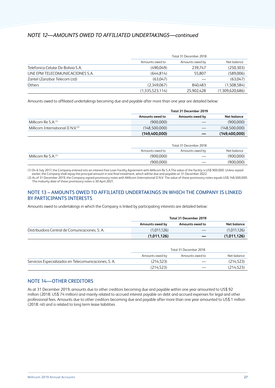## *NOTE 12—AMOUNTS OWED TO AFFILIATED UNDERTAKINGS—continued*

|                                    |                 | Total 31 December 2018 |                 |
|------------------------------------|-----------------|------------------------|-----------------|
|                                    | Amounts owed to | Amounts owed by        | Net balance     |
| Telefonica Celular De Bolivia S.A. | (490,049)       | 239.747                | (250,303)       |
| UNE EPM TELECOMUNICACIONES S.A.    | (644, 814)      | 55.807                 | (589,006)       |
| Zantel (Zanzibar Telecom Ltd)      | (63.047)        |                        | (63,047)        |
| Others                             | (2.349.067)     | 840.483                | (1,508,584)     |
|                                    | (1,335,523,114) | 25.902.428             | (1,309,620,686) |

Amounts owed to affiliated undertakings becoming due and payable after more than one year are detailed below:

|                                       |                 | Total 31 December 2019 |                 |
|---------------------------------------|-----------------|------------------------|-----------------|
|                                       | Amounts owed to | Amounts owed by        | Net balance     |
| Millicom Re S.A. <sup>(1)</sup>       | (900.000)       |                        | (900,000)       |
| Millicom International II $N V^{(2)}$ | (148.500.000)   |                        | (148.500.000)   |
|                                       | (149, 400, 000) |                        | (149, 400, 000) |

|                                 | Total 31 December 2018 |                          |             |
|---------------------------------|------------------------|--------------------------|-------------|
|                                 | Amounts owed to        | Amounts owed by          | Net balance |
| Millicom Re S.A. <sup>(1)</sup> | (900.000)              | $\overline{\phantom{a}}$ | (900,000)   |
|                                 | (900.000)              |                          | (900,000)   |

(1) On 6 July 2017, the Company entered into an interest-free Loan Facility Agreement with Millicom Re S.A.The value of the facility is US\$ 900,000. Unless repaid earlier, the Company shall repay the principal amount in one final instalment, which will be due and payable on 31 December 2022.

(2) As of 31 December 2019, the Company signed promissory notes with Millicom International II N.V. The value of these promissory notes equals US\$ 148,500,000. The maturity date of these promissory notes is 30 April 2021.

#### NOTE 13 – AMOUNTS OWED TO AFFILIATED UNDERTAKINGS IN WHICH THE COMPANY IS LINKED BY PARTICIPANTS INTERESTS

Amounts owed to undertakings in which the Company is linked by participating interests are detailed below:

|                                               | Total 31 December 2019 |                 |             |
|-----------------------------------------------|------------------------|-----------------|-------------|
|                                               | Amounts owed by        | Amounts owed to | Net balance |
| Distribuidora Central de Comunicaciones, S.A. | (1.011.126)            |                 | (1.011.126) |
|                                               | (1,011,126)            |                 | (1,011,126) |
|                                               |                        |                 |             |

|                                                      | Total 31 December 2018 |                 |             |
|------------------------------------------------------|------------------------|-----------------|-------------|
|                                                      | Amounts owed by        | Amounts owed to | Net balance |
| Servicios Especializados en Telecomunicaciones, S.A. | (214.523)              |                 | (214, 523)  |
|                                                      | (214.523)              |                 | .214.523'   |

## NOTE 14—OTHER CREDITORS

As at 31 December 2019, amounts due to other creditors becoming due and payable within one year amounted to US\$ 92 million (2018: US\$ 74 million) and mainly related to accrued interest payable on debt and accrued expenses for legal and other professional fees. Amounts due to other creditors becoming due and payable after more than one year amounted to US\$ 1 million (2018: nil) and is related to long term lease liabilities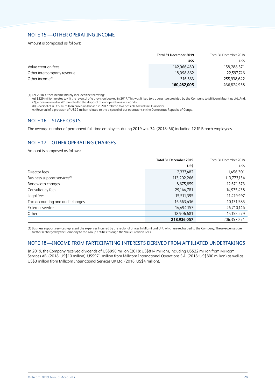## NOTE 15 —OTHER OPERATING INCOME

Amount is composed as follows:

|                             | <b>Total 31 December 2019</b> | Total 31 December 2018 |
|-----------------------------|-------------------------------|------------------------|
|                             | US\$                          | US\$                   |
| Value creation fees         | 142.066.480                   | 158,288,571            |
| Other intercompany revenue  | 18,098,862                    | 22,597,746             |
| Other income <sup>(1)</sup> | 316.663                       | 255,938,642            |
|                             | 160,482,005                   | 436,824,958            |

(1) For 2018, Other income mainly included the following:

(a) \$229 million relates to (1) the reversal of a provision booked in 2017. This was linked to a guarantee provided by the Company to Millicom Mauritius Ltd. And, (2), a gain realized in 2018 related to the disposal of our operations in Rwanda.

(b) Reversal of a US\$ 16 million provision booked in 2017 related to a possible tax risk in El Salvador.

(c) Reversal of a provision of US\$ 9 million related to the disposal of our operations in the Democratic Republic of Congo.

## NOTE 16—STAFF COSTS

The average number of permanent full-time employees during 2019 was 34 (2018: 66) including 12 IP Branch employees.

## NOTE 17—OTHER OPERATING CHARGES

Amount is composed as follows:

|                                          | <b>Total 31 December 2019</b> | Total 31 December 2018 |
|------------------------------------------|-------------------------------|------------------------|
|                                          | US\$                          | US\$                   |
| Director fees                            | 2,337,482                     | 1,456,301              |
| Business support services <sup>(1)</sup> | 113,202,266                   | 113,777,154            |
| Bandwidth charges                        | 8,675,859                     | 12,671,373             |
| Consultancy fees                         | 29,144,781                    | 14,975,438             |
| Legal fees                               | 15,511,395                    | 11,479,997             |
| Tax, accounting and audit charges        | 16,663,436                    | 10,131,585             |
| External services                        | 14,494,157                    | 26,710,144             |
| Other                                    | 18,906,681                    | 15,155,279             |
|                                          | 218,936,057                   | 206,357,271            |

(1) Business support services represent the expenses incurred by the regional offices in Miami and U.K. which are recharged to the Company. These expenses are further recharged by the Company to the Group entities through the Value Creation Fees.

#### NOTE 18—INCOME FROM PARTICIPATING INTERESTS DERIVED FROM AFFILIATED UNDERTAKINGS

In 2019, the Company received dividends of US\$996 million (2018: US\$814 million), including US\$22 million from Millicom Services AB, (2018: US\$10 million), US\$971 million from Millicom International Operations S.A. (2018: US\$800 million) as well as US\$3 million from Millicom International Services UK Ltd. (2018: US\$4 million).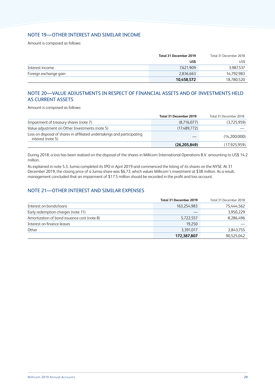## NOTE 19—OTHER INTEREST AND SIMILAR INCOME

Amount is composed as follows:

|                       | Total 31 December 2019 | Total 31 December 2018 |
|-----------------------|------------------------|------------------------|
|                       | US\$                   | US\$                   |
| Interest income       | 7.621.909              | 3,987,537              |
| Foreign exchange gain | 2.836.663              | 14.792.983             |
|                       | 10,458,572             | 18,780,520             |

## NOTE 20—VALUE ADJUSTMENTS IN RESPECT OF FINANCIAL ASSETS AND OF INVESTMENTS HELD AS CURRENT ASSETS

Amount is composed as follows:

|                                                                                              | Total 31 December 2019 | Total 31 December 2018 |
|----------------------------------------------------------------------------------------------|------------------------|------------------------|
| Impairment of treasury shares (note 7)                                                       | (8,716,077)            | (3,725,959)            |
| Value adjustment on Other Investments (note 5)                                               | (17,489,772)           |                        |
| Loss on disposal of shares in affiliated undertakings and participating<br>interest (note 5) |                        | (14.200.000)           |
|                                                                                              | (26, 205, 849)         | (17, 925, 959)         |

During 2018, a loss has been realized on the disposal of the shares in Millicom International Operations B.V. amounting to US\$ 14.2 million.

As explained in note 5.3, Jumia completed its IPO in April 2019 and commenced the listing of its shares on the NYSE. At 31 December 2019, the closing price of a Jumia share was \$6.73, which values Millicom's investment at \$38 million. As a result, management concluded that an impairment of \$17.5 million should be recorded in the profit and loss account.

## NOTE 21—OTHER INTEREST AND SIMILAR EXPENSES

|                                             | Total 31 December 2019 | Total 31 December 2018 |
|---------------------------------------------|------------------------|------------------------|
| Interest on bonds/loans                     | 163,254,983            | 75,444,562             |
| Early redemption charges (note 11)          |                        | 3,950,229              |
| Amortization of bond issuance cost (note 8) | 5.722.557              | 8.286.496              |
| Interest on finance leases                  | 19.250                 |                        |
| Other                                       | 3,391,017              | 2,843,755              |
|                                             | 172,387,807            | 90,525,042             |